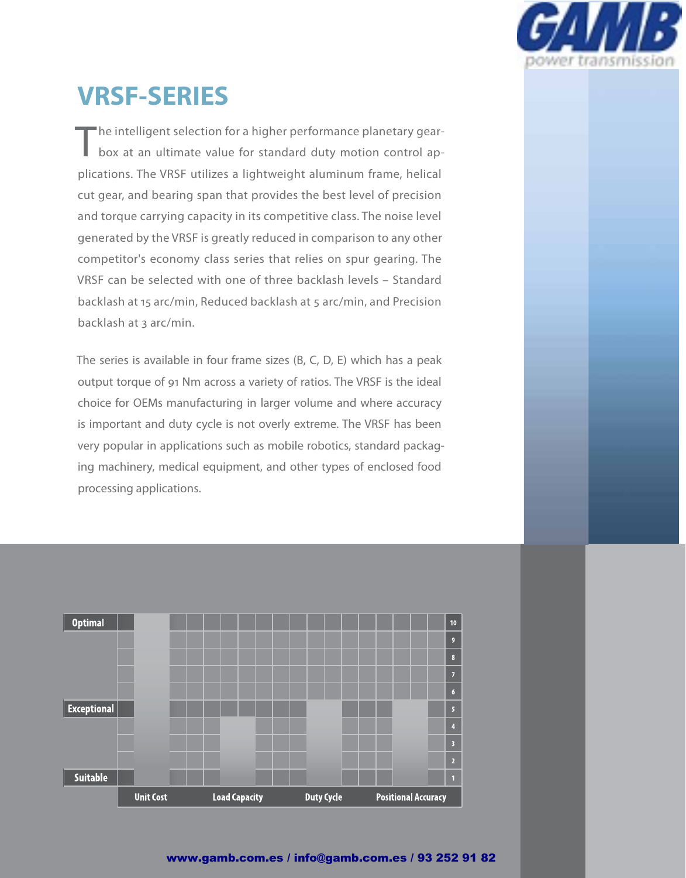

# **VRSF-SERIES**

"he intelligent selection for a higher performance planetary gearbox at an ultimate value for standard duty motion control applications. The VRSF utilizes a lightweight aluminum frame, helical cut gear, and bearing span that provides the best level of precision and torque carrying capacity in its competitive class. The noise level generated by the VRSF is greatly reduced in comparison to any other competitor's economy class series that relies on spur gearing. The VRSF can be selected with one of three backlash levels – Standard backlash at 15 arc/min, Reduced backlash at 5 arc/min, and Precision backlash at 3 arc/min.

The series is available in four frame sizes (B, C, D, E) which has a peak output torque of 91 Nm across a variety of ratios. The VRSF is the ideal choice for OEMs manufacturing in larger volume and where accuracy is important and duty cycle is not overly extreme. The VRSF has been very popular in applications such as mobile robotics, standard packaging machinery, medical equipment, and other types of enclosed food processing applications.

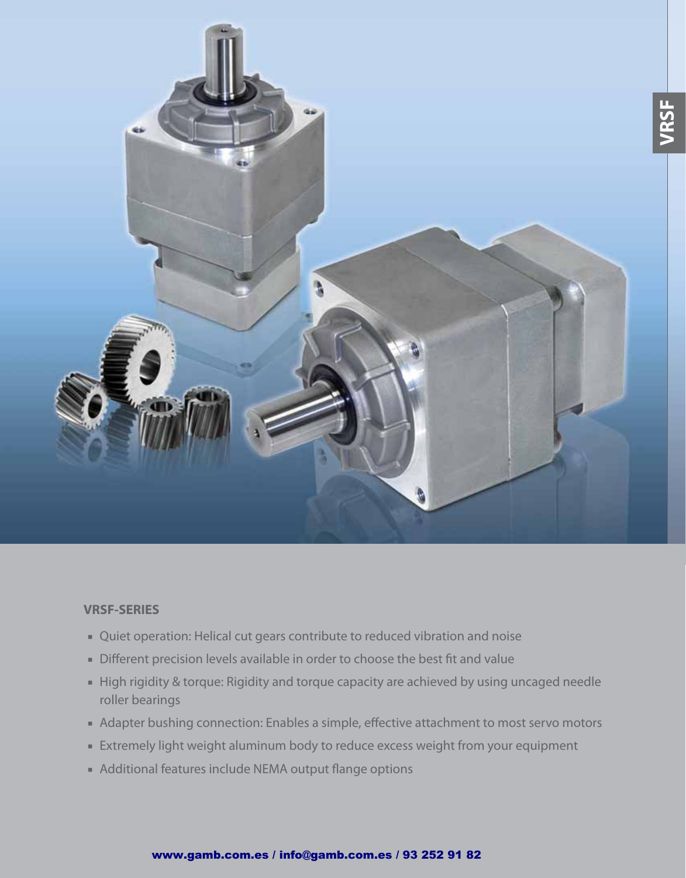

#### **VRSF-SERIES**

- Quiet operation: Helical cut gears contribute to reduced vibration and noise
- Different precision levels available in order to choose the best fit and value
- High rigidity & torque: Rigidity and torque capacity are achieved by using uncaged needle roller bearings
- Adapter bushing connection: Enables a simple, effective attachment to most servo motors
- Extremely light weight aluminum body to reduce excess weight from your equipment
- Additional features include NEMA output flange options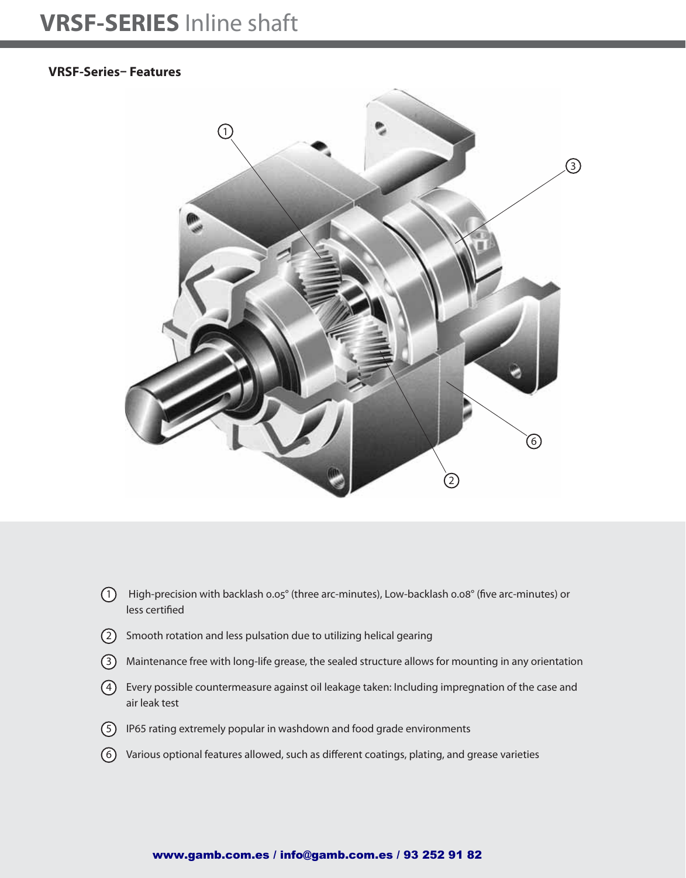## **VRSF-SERIES** Inline shaft

#### **VRSF-Series– Features**



- $\Omega$  High-precision with backlash 0.05° (three arc-minutes), Low-backlash 0.08° (five arc-minutes) or less certified
- 2 Smooth rotation and less pulsation due to utilizing helical gearing
- 3 Maintenance free with long-life grease, the sealed structure allows for mounting in any orientation
- 4 Every possible countermeasure against oil leakage taken: Including impregnation of the case and air leak test
- 5 IP65 rating extremely popular in washdown and food grade environments
- $(6)$  Various optional features allowed, such as different coatings, plating, and grease varieties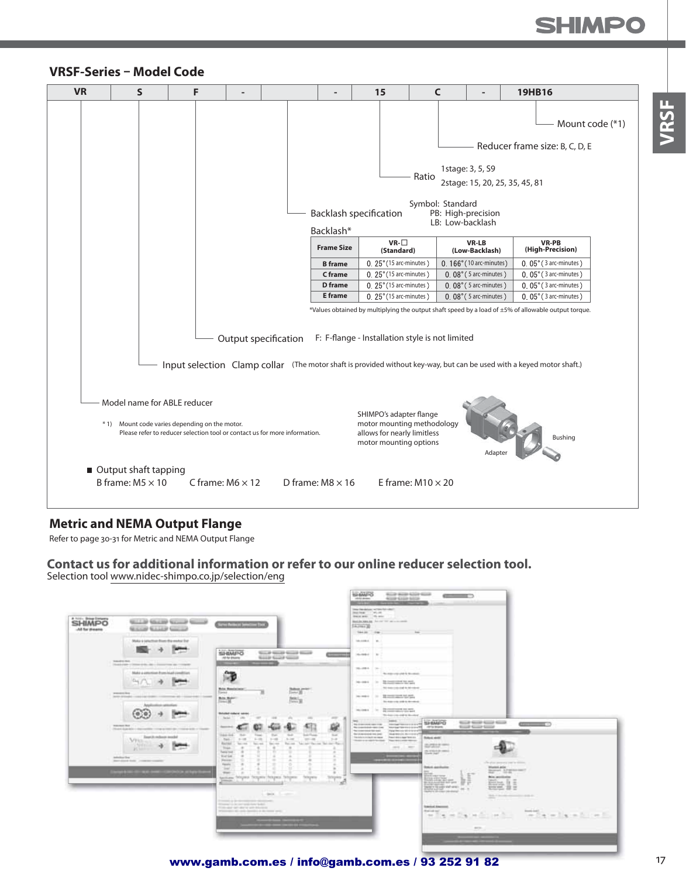**JRSF** 



#### **VRSF-Series – Model Code**

#### **Metric and NEMA Output Flange**

Refer to page 30-31 for Metric and NEMA Output Flange

**Contact us for additional information or refer to our online reducer selection tool.** Selection tool www.nidec-shimpo.co.jp/selection/eng



www.gamb.com.es / info@gamb.com.es / 93 252 91 82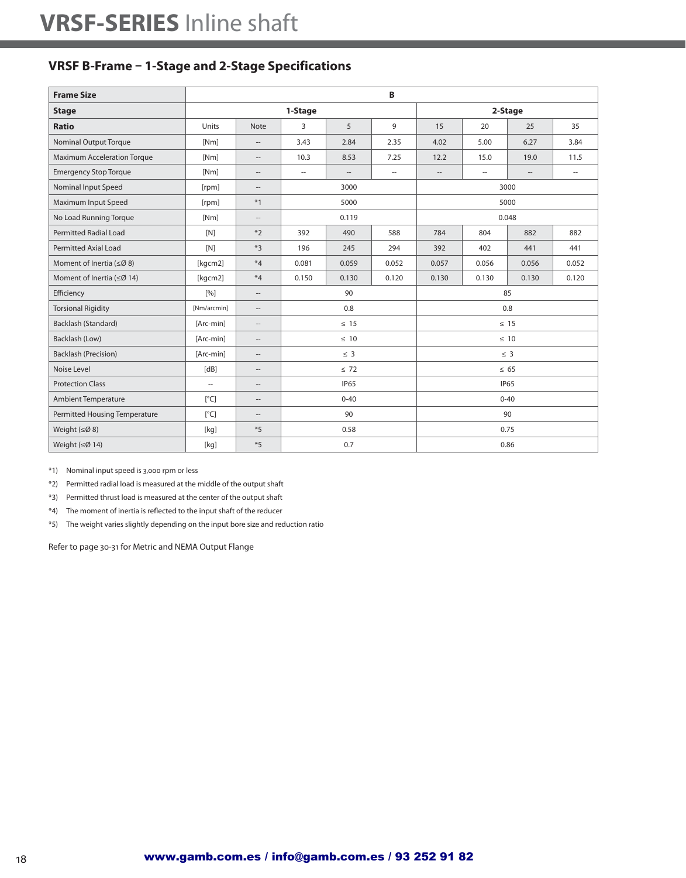### **VRSF B-Frame – 1-Stage and 2-Stage Specifications**

| <b>Frame Size</b>                  |                          |                                    | B<br>2-Stage<br>1-Stage<br>9<br>3<br>5<br>15<br>20<br>25<br>4.02<br>2.84<br>2.35<br>5.00<br>6.27<br>3.43<br>10.3<br>8.53<br>12.2<br>15.0<br>19.0<br>7.25<br>$\hspace{0.05cm} \ldots$<br>$\overline{\phantom{a}}$<br>$\hspace{0.05cm} -$<br>$\hspace{0.05cm} \ldots$<br>$\hspace{0.05cm} \ldots$<br>$\hspace{0.05cm} -$<br>3000<br>3000<br>5000<br>5000<br>0.048<br>0.119<br>490<br>588<br>784<br>804<br>882<br>392<br>196<br>245<br>294<br>392<br>402<br>441<br>0.081<br>0.059<br>0.052<br>0.057<br>0.056<br>0.056<br>0.150<br>0.130<br>0.120<br>0.130<br>0.130<br>0.130<br>90<br>85<br>0.8<br>0.8<br>$\leq$ 15<br>$\leq$ 15<br>$\leq 10$<br>$\leq 10$<br>$\leq$ 3<br>$\leq$ 3<br>$\leq 72$<br>$\leq 65$<br><b>IP65</b><br><b>IP65</b><br>$0 - 40$<br>$0 - 40$<br>90<br>90<br>0.75 |      |  |  |      |  |                          |  |  |  |
|------------------------------------|--------------------------|------------------------------------|------------------------------------------------------------------------------------------------------------------------------------------------------------------------------------------------------------------------------------------------------------------------------------------------------------------------------------------------------------------------------------------------------------------------------------------------------------------------------------------------------------------------------------------------------------------------------------------------------------------------------------------------------------------------------------------------------------------------------------------------------------------------------------|------|--|--|------|--|--------------------------|--|--|--|
| <b>Stage</b>                       |                          |                                    |                                                                                                                                                                                                                                                                                                                                                                                                                                                                                                                                                                                                                                                                                                                                                                                    |      |  |  |      |  |                          |  |  |  |
| <b>Ratio</b>                       | Units                    | <b>Note</b>                        |                                                                                                                                                                                                                                                                                                                                                                                                                                                                                                                                                                                                                                                                                                                                                                                    |      |  |  |      |  | 35                       |  |  |  |
| <b>Nominal Output Torque</b>       | [Nm]                     | $\hspace{0.05cm} -\hspace{0.05cm}$ |                                                                                                                                                                                                                                                                                                                                                                                                                                                                                                                                                                                                                                                                                                                                                                                    |      |  |  |      |  | 3.84                     |  |  |  |
| <b>Maximum Acceleration Torque</b> | [Nm]                     | $\qquad \qquad -$                  |                                                                                                                                                                                                                                                                                                                                                                                                                                                                                                                                                                                                                                                                                                                                                                                    |      |  |  |      |  | 11.5                     |  |  |  |
| <b>Emergency Stop Torque</b>       | [Nm]                     | $\qquad \qquad -$                  |                                                                                                                                                                                                                                                                                                                                                                                                                                                                                                                                                                                                                                                                                                                                                                                    |      |  |  |      |  | $\overline{\phantom{a}}$ |  |  |  |
| Nominal Input Speed                | [rpm]                    | $\hspace{0.05cm} -\hspace{0.05cm}$ |                                                                                                                                                                                                                                                                                                                                                                                                                                                                                                                                                                                                                                                                                                                                                                                    |      |  |  |      |  |                          |  |  |  |
| Maximum Input Speed                | [rpm]                    | $*1$                               |                                                                                                                                                                                                                                                                                                                                                                                                                                                                                                                                                                                                                                                                                                                                                                                    |      |  |  |      |  |                          |  |  |  |
| No Load Running Torque             | [Nm]                     | $\hspace{0.05cm} -\hspace{0.05cm}$ |                                                                                                                                                                                                                                                                                                                                                                                                                                                                                                                                                                                                                                                                                                                                                                                    |      |  |  |      |  |                          |  |  |  |
| <b>Permitted Radial Load</b>       | [N]                      | $*2$                               |                                                                                                                                                                                                                                                                                                                                                                                                                                                                                                                                                                                                                                                                                                                                                                                    |      |  |  |      |  | 882                      |  |  |  |
| <b>Permitted Axial Load</b>        | [N]                      | $*3$                               |                                                                                                                                                                                                                                                                                                                                                                                                                                                                                                                                                                                                                                                                                                                                                                                    |      |  |  |      |  | 441                      |  |  |  |
| Moment of Inertia ( $\leq$ Ø8)     | [kgcm2]                  | $*4$                               |                                                                                                                                                                                                                                                                                                                                                                                                                                                                                                                                                                                                                                                                                                                                                                                    |      |  |  |      |  | 0.052                    |  |  |  |
| Moment of Inertia ( $\leq$ Ø 14)   | [kgcm2]                  | $*4$                               |                                                                                                                                                                                                                                                                                                                                                                                                                                                                                                                                                                                                                                                                                                                                                                                    |      |  |  |      |  | 0.120                    |  |  |  |
| Efficiency                         | $\lceil 9/6 \rceil$      | $\hspace{0.05cm} -\hspace{0.05cm}$ |                                                                                                                                                                                                                                                                                                                                                                                                                                                                                                                                                                                                                                                                                                                                                                                    |      |  |  |      |  |                          |  |  |  |
| <b>Torsional Rigidity</b>          | [Nm/arcmin]              | $\hspace{0.05cm} -\hspace{0.05cm}$ |                                                                                                                                                                                                                                                                                                                                                                                                                                                                                                                                                                                                                                                                                                                                                                                    |      |  |  |      |  |                          |  |  |  |
| Backlash (Standard)                | [Arc-min]                | $\hspace{0.05cm} -\hspace{0.05cm}$ |                                                                                                                                                                                                                                                                                                                                                                                                                                                                                                                                                                                                                                                                                                                                                                                    |      |  |  |      |  |                          |  |  |  |
| Backlash (Low)                     | [Arc-min]                | $\cdots$                           |                                                                                                                                                                                                                                                                                                                                                                                                                                                                                                                                                                                                                                                                                                                                                                                    |      |  |  |      |  |                          |  |  |  |
| <b>Backlash (Precision)</b>        | [Arc-min]                | $\hspace{0.05cm} -\hspace{0.05cm}$ |                                                                                                                                                                                                                                                                                                                                                                                                                                                                                                                                                                                                                                                                                                                                                                                    |      |  |  |      |  |                          |  |  |  |
| Noise Level                        | [dB]                     | $\hspace{0.05cm} -\hspace{0.05cm}$ |                                                                                                                                                                                                                                                                                                                                                                                                                                                                                                                                                                                                                                                                                                                                                                                    |      |  |  |      |  |                          |  |  |  |
| <b>Protection Class</b>            | $\overline{\phantom{a}}$ | $\hspace{0.05cm} -\hspace{0.05cm}$ |                                                                                                                                                                                                                                                                                                                                                                                                                                                                                                                                                                                                                                                                                                                                                                                    |      |  |  |      |  |                          |  |  |  |
| <b>Ambient Temperature</b>         | $\lceil^{\circ}C\rceil$  | $\hspace{0.05cm} \ldots$           |                                                                                                                                                                                                                                                                                                                                                                                                                                                                                                                                                                                                                                                                                                                                                                                    |      |  |  |      |  |                          |  |  |  |
| Permitted Housing Temperature      | [°C]                     | $\qquad \qquad -$                  |                                                                                                                                                                                                                                                                                                                                                                                                                                                                                                                                                                                                                                                                                                                                                                                    |      |  |  |      |  |                          |  |  |  |
| Weight $(\leq \emptyset 8)$        | [kq]                     | $*5$                               |                                                                                                                                                                                                                                                                                                                                                                                                                                                                                                                                                                                                                                                                                                                                                                                    | 0.58 |  |  |      |  |                          |  |  |  |
| Weight $(\leq \emptyset 14)$       | [kg]                     | $*5$                               |                                                                                                                                                                                                                                                                                                                                                                                                                                                                                                                                                                                                                                                                                                                                                                                    | 0.7  |  |  | 0.86 |  |                          |  |  |  |

\*1) Nominal input speed is 3,000 rpm or less

\*2) Permitted radial load is measured at the middle of the output shaft

\*3) Permitted thrust load is measured at the center of the output shaft

\*4) The moment of inertia is reflected to the input shaft of the reducer

\*5) The weight varies slightly depending on the input bore size and reduction ratio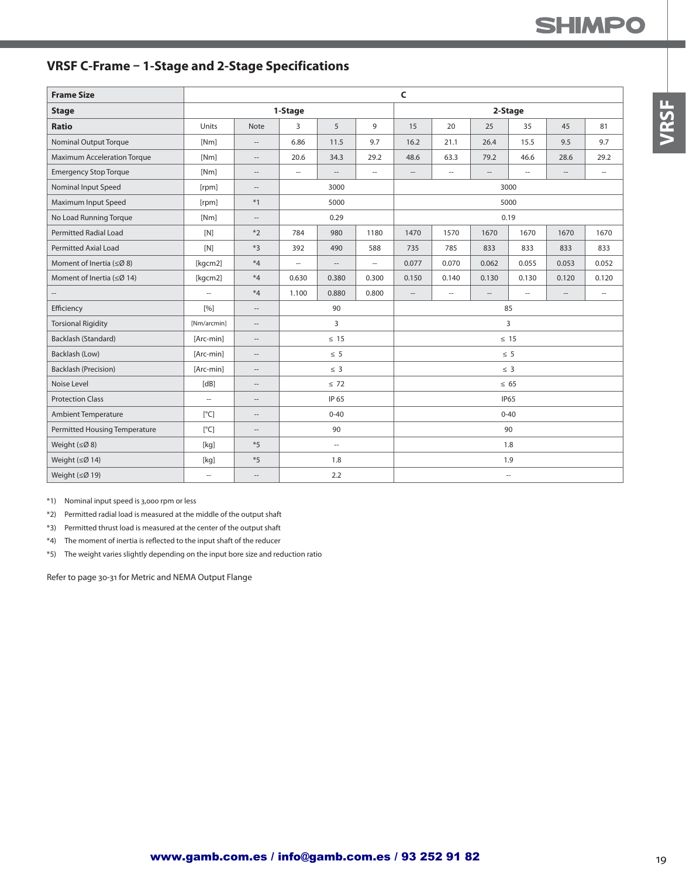## **SHIMPO**

## **VRSF C-Frame – 1-Stage and 2-Stage Specifications**

| <b>Frame Size</b>                |                          |                                                     | C<br>1-Stage<br>2-Stage<br>3<br>5<br>9<br>35<br>15<br>20<br>25<br>45<br>6.86<br>11.5<br>9.7<br>16.2<br>21.1<br>26.4<br>15.5<br>9.5<br>34.3<br>48.6<br>63.3<br>79.2<br>20.6<br>29.2<br>46.6<br>28.6<br>$\overline{\phantom{a}}$<br>$\overline{a}$<br>$\cdots$<br>$\sim$<br>$\overline{\phantom{a}}$<br>$\hspace{0.05cm} \ldots$<br>$\overline{\phantom{a}}$<br>--<br>$\overline{\phantom{a}}$<br>3000<br>3000<br>5000<br>5000<br>0.29<br>0.19<br>980<br>1670<br>784<br>1180<br>1470<br>1570<br>1670<br>1670<br>490<br>392<br>588<br>735<br>785<br>833<br>833<br>833<br>0.077<br>0.070<br>0.062<br>0.055<br>0.053<br>u.<br>$\overline{\phantom{a}}$<br>$\overline{\phantom{a}}$<br>0.380<br>0.130<br>0.630<br>0.300<br>0.150<br>0.140<br>0.130<br>0.120<br>0.880<br>0.800<br>1.100<br>$\hspace{0.05cm} -\hspace{0.05cm}$<br>$\cdots$<br>$\hspace{0.05cm} -$<br>$\hspace{0.05cm} -$<br>$\cdots$<br>$\overline{\phantom{a}}$<br>90<br>85<br>3<br>$\overline{3}$<br>$\leq 15$<br>$\leq 15$<br>$\leq 5$<br>$\leq 5$<br>$\leq$ 3<br>$\leq 3$<br>$\leq 72$<br>$\leq 65$<br>IP 65<br><b>IP65</b><br>$0 - 40$<br>$0 - 40$<br>90<br>90 |     |  |  |  |  |                     |  |       |  |  |
|----------------------------------|--------------------------|-----------------------------------------------------|-----------------------------------------------------------------------------------------------------------------------------------------------------------------------------------------------------------------------------------------------------------------------------------------------------------------------------------------------------------------------------------------------------------------------------------------------------------------------------------------------------------------------------------------------------------------------------------------------------------------------------------------------------------------------------------------------------------------------------------------------------------------------------------------------------------------------------------------------------------------------------------------------------------------------------------------------------------------------------------------------------------------------------------------------------------------------------------------------------------------------------|-----|--|--|--|--|---------------------|--|-------|--|--|
| <b>Stage</b>                     |                          |                                                     |                                                                                                                                                                                                                                                                                                                                                                                                                                                                                                                                                                                                                                                                                                                                                                                                                                                                                                                                                                                                                                                                                                                             |     |  |  |  |  |                     |  |       |  |  |
| <b>Ratio</b>                     | Units                    | Note                                                |                                                                                                                                                                                                                                                                                                                                                                                                                                                                                                                                                                                                                                                                                                                                                                                                                                                                                                                                                                                                                                                                                                                             |     |  |  |  |  |                     |  | 81    |  |  |
| <b>Nominal Output Torque</b>     | [Nm]                     | $\hspace{0.05cm} -\hspace{0.05cm} -\hspace{0.05cm}$ |                                                                                                                                                                                                                                                                                                                                                                                                                                                                                                                                                                                                                                                                                                                                                                                                                                                                                                                                                                                                                                                                                                                             |     |  |  |  |  |                     |  | 9.7   |  |  |
| Maximum Acceleration Torque      | [Nm]                     | $\hspace{0.05cm} -$                                 |                                                                                                                                                                                                                                                                                                                                                                                                                                                                                                                                                                                                                                                                                                                                                                                                                                                                                                                                                                                                                                                                                                                             |     |  |  |  |  |                     |  | 29.2  |  |  |
| <b>Emergency Stop Torque</b>     | [Nm]                     | $\hspace{0.05cm} -$                                 |                                                                                                                                                                                                                                                                                                                                                                                                                                                                                                                                                                                                                                                                                                                                                                                                                                                                                                                                                                                                                                                                                                                             |     |  |  |  |  |                     |  |       |  |  |
| Nominal Input Speed              | [rpm]                    | $\overline{\phantom{a}}$                            |                                                                                                                                                                                                                                                                                                                                                                                                                                                                                                                                                                                                                                                                                                                                                                                                                                                                                                                                                                                                                                                                                                                             |     |  |  |  |  |                     |  |       |  |  |
| Maximum Input Speed              | [rpm]                    | $*1$                                                |                                                                                                                                                                                                                                                                                                                                                                                                                                                                                                                                                                                                                                                                                                                                                                                                                                                                                                                                                                                                                                                                                                                             |     |  |  |  |  |                     |  |       |  |  |
| No Load Running Torque           | [Nm]                     | $\hspace{0.05cm}--\hspace{0.05cm}$                  |                                                                                                                                                                                                                                                                                                                                                                                                                                                                                                                                                                                                                                                                                                                                                                                                                                                                                                                                                                                                                                                                                                                             |     |  |  |  |  |                     |  |       |  |  |
| <b>Permitted Radial Load</b>     | [N]                      | $*2$                                                |                                                                                                                                                                                                                                                                                                                                                                                                                                                                                                                                                                                                                                                                                                                                                                                                                                                                                                                                                                                                                                                                                                                             |     |  |  |  |  |                     |  | 1670  |  |  |
| <b>Permitted Axial Load</b>      | [N]                      | $*3$                                                |                                                                                                                                                                                                                                                                                                                                                                                                                                                                                                                                                                                                                                                                                                                                                                                                                                                                                                                                                                                                                                                                                                                             |     |  |  |  |  |                     |  | 833   |  |  |
| Moment of Inertia ( $\leq$ Ø 8)  | [kgcm2]                  | $*4$                                                |                                                                                                                                                                                                                                                                                                                                                                                                                                                                                                                                                                                                                                                                                                                                                                                                                                                                                                                                                                                                                                                                                                                             |     |  |  |  |  |                     |  | 0.052 |  |  |
| Moment of Inertia ( $\leq$ Ø 14) | [kgcm2]                  | $*4$                                                |                                                                                                                                                                                                                                                                                                                                                                                                                                                                                                                                                                                                                                                                                                                                                                                                                                                                                                                                                                                                                                                                                                                             |     |  |  |  |  |                     |  | 0.120 |  |  |
|                                  | --                       | $*4$                                                |                                                                                                                                                                                                                                                                                                                                                                                                                                                                                                                                                                                                                                                                                                                                                                                                                                                                                                                                                                                                                                                                                                                             |     |  |  |  |  |                     |  |       |  |  |
| Efficiency                       | [%]                      | $\hspace{0.05cm} -\hspace{0.05cm}$                  |                                                                                                                                                                                                                                                                                                                                                                                                                                                                                                                                                                                                                                                                                                                                                                                                                                                                                                                                                                                                                                                                                                                             |     |  |  |  |  |                     |  |       |  |  |
| <b>Torsional Rigidity</b>        | [Nm/arcmin]              | $\overline{\phantom{a}}$                            |                                                                                                                                                                                                                                                                                                                                                                                                                                                                                                                                                                                                                                                                                                                                                                                                                                                                                                                                                                                                                                                                                                                             |     |  |  |  |  |                     |  |       |  |  |
| Backlash (Standard)              | [Arc-min]                | $\hspace{0.05cm} -$                                 |                                                                                                                                                                                                                                                                                                                                                                                                                                                                                                                                                                                                                                                                                                                                                                                                                                                                                                                                                                                                                                                                                                                             |     |  |  |  |  |                     |  |       |  |  |
| Backlash (Low)                   | [Arc-min]                | $\overline{\phantom{a}}$                            |                                                                                                                                                                                                                                                                                                                                                                                                                                                                                                                                                                                                                                                                                                                                                                                                                                                                                                                                                                                                                                                                                                                             |     |  |  |  |  |                     |  |       |  |  |
| <b>Backlash (Precision)</b>      | [Arc-min]                | $-\, -$                                             |                                                                                                                                                                                                                                                                                                                                                                                                                                                                                                                                                                                                                                                                                                                                                                                                                                                                                                                                                                                                                                                                                                                             |     |  |  |  |  |                     |  |       |  |  |
| Noise Level                      | [dB]                     | $\overline{\phantom{a}}$                            |                                                                                                                                                                                                                                                                                                                                                                                                                                                                                                                                                                                                                                                                                                                                                                                                                                                                                                                                                                                                                                                                                                                             |     |  |  |  |  |                     |  |       |  |  |
| <b>Protection Class</b>          | u.                       | $\qquad \qquad -$                                   |                                                                                                                                                                                                                                                                                                                                                                                                                                                                                                                                                                                                                                                                                                                                                                                                                                                                                                                                                                                                                                                                                                                             |     |  |  |  |  |                     |  |       |  |  |
| <b>Ambient Temperature</b>       | [°C]                     | $-\!$                                               |                                                                                                                                                                                                                                                                                                                                                                                                                                                                                                                                                                                                                                                                                                                                                                                                                                                                                                                                                                                                                                                                                                                             |     |  |  |  |  |                     |  |       |  |  |
| Permitted Housing Temperature    | [°C]                     | $\overline{\phantom{a}}$                            |                                                                                                                                                                                                                                                                                                                                                                                                                                                                                                                                                                                                                                                                                                                                                                                                                                                                                                                                                                                                                                                                                                                             |     |  |  |  |  |                     |  |       |  |  |
| Weight $(\leq \emptyset 8)$      | [kq]                     | $*5$                                                |                                                                                                                                                                                                                                                                                                                                                                                                                                                                                                                                                                                                                                                                                                                                                                                                                                                                                                                                                                                                                                                                                                                             | ă.  |  |  |  |  | 1.8                 |  |       |  |  |
| Weight (≤Ø 14)                   | [kq]                     | $*5$                                                |                                                                                                                                                                                                                                                                                                                                                                                                                                                                                                                                                                                                                                                                                                                                                                                                                                                                                                                                                                                                                                                                                                                             | 1.8 |  |  |  |  | 1.9                 |  |       |  |  |
| Weight (≤Ø 19)                   | $\overline{\phantom{a}}$ | $\hspace{0.05cm} -\hspace{0.05cm}$                  |                                                                                                                                                                                                                                                                                                                                                                                                                                                                                                                                                                                                                                                                                                                                                                                                                                                                                                                                                                                                                                                                                                                             | 2.2 |  |  |  |  | $\hspace{0.05cm} -$ |  |       |  |  |

\*1) Nominal input speed is 3,000 rpm or less

\*2) Permitted radial load is measured at the middle of the output shaft

\*3) Permitted thrust load is measured at the center of the output shaft

\*4) The moment of inertia is reflected to the input shaft of the reducer

\*5) The weight varies slightly depending on the input bore size and reduction ratio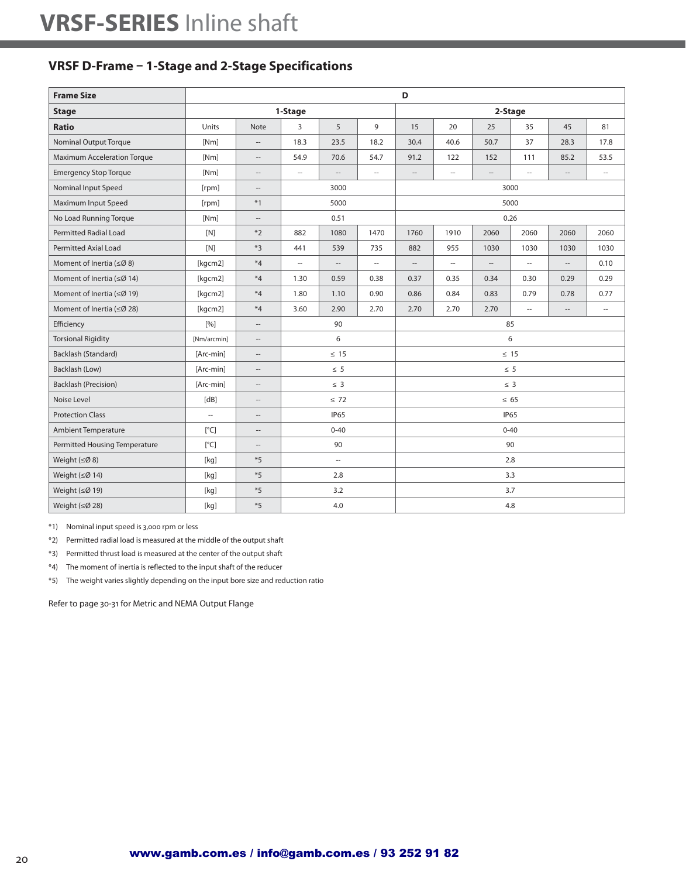### **VRSF D-Frame – 1-Stage and 2-Stage Specifications**

| <b>Frame Size</b>                  |                     |                                    | D<br>1-Stage<br>2-Stage<br>5<br>9<br>15<br>20<br>25<br>35<br>45<br>3<br>18.3<br>23.5<br>18.2<br>30.4<br>40.6<br>50.7<br>37<br>28.3<br>54.9<br>70.6<br>54.7<br>91.2<br>122<br>152<br>85.2<br>111<br>$\overline{\phantom{a}}$<br>$\overline{a}$<br>$\overline{\phantom{a}}$<br>$\overline{\phantom{a}}$<br>$\cdots$<br>--<br>$\cdots$<br>$\hspace{0.05cm} -$<br>3000<br>3000<br>5000<br>5000<br>0.51<br>0.26<br>882<br>1080<br>1470<br>1760<br>1910<br>2060<br>2060<br>2060<br>539<br>735<br>882<br>955<br>1030<br>1030<br>1030<br>441<br>$\overline{\phantom{a}}$<br>$\overline{\phantom{a}}$<br>--<br>--<br>$\hspace{0.05cm} -$<br>$\hspace{0.05cm} -$<br>$\qquad \qquad -$<br>$\hspace{0.05cm} -$<br>1.30<br>0.59<br>0.38<br>0.37<br>0.35<br>0.34<br>0.30<br>0.29<br>1.80<br>1.10<br>0.90<br>0.86<br>0.84<br>0.83<br>0.79<br>0.78<br>2.90<br>2.70<br>2.70<br>3.60<br>2.70<br>2.70<br>Ξ.<br>$\hspace{0.05cm} -$<br>90<br>85<br>6<br>6<br>$\leq 15$<br>$\leq 15$<br>$\leq 5$<br>$\leq 5$<br>$\leq 3$<br>$\leq$ 3<br>$\leq 72$<br>$\leq 65$<br><b>IP65</b><br><b>IP65</b><br>$0 - 40$<br>$0 - 40$<br>90<br>90<br>2.8<br>$\overline{\phantom{a}}$<br>2.8<br>3.3 |     |  |  |  |  |     |  |                          |  |  |
|------------------------------------|---------------------|------------------------------------|--------------------------------------------------------------------------------------------------------------------------------------------------------------------------------------------------------------------------------------------------------------------------------------------------------------------------------------------------------------------------------------------------------------------------------------------------------------------------------------------------------------------------------------------------------------------------------------------------------------------------------------------------------------------------------------------------------------------------------------------------------------------------------------------------------------------------------------------------------------------------------------------------------------------------------------------------------------------------------------------------------------------------------------------------------------------------------------------------------------------------------------------------------------|-----|--|--|--|--|-----|--|--------------------------|--|--|
| <b>Stage</b>                       |                     |                                    |                                                                                                                                                                                                                                                                                                                                                                                                                                                                                                                                                                                                                                                                                                                                                                                                                                                                                                                                                                                                                                                                                                                                                              |     |  |  |  |  |     |  |                          |  |  |
| <b>Ratio</b>                       | Units               | <b>Note</b>                        |                                                                                                                                                                                                                                                                                                                                                                                                                                                                                                                                                                                                                                                                                                                                                                                                                                                                                                                                                                                                                                                                                                                                                              |     |  |  |  |  |     |  | 81                       |  |  |
| <b>Nominal Output Torque</b>       | [Nm]                | $\overline{a}$                     |                                                                                                                                                                                                                                                                                                                                                                                                                                                                                                                                                                                                                                                                                                                                                                                                                                                                                                                                                                                                                                                                                                                                                              |     |  |  |  |  |     |  | 17.8                     |  |  |
| <b>Maximum Acceleration Torque</b> | [Nm]                | $\overline{\phantom{a}}$           |                                                                                                                                                                                                                                                                                                                                                                                                                                                                                                                                                                                                                                                                                                                                                                                                                                                                                                                                                                                                                                                                                                                                                              |     |  |  |  |  |     |  | 53.5                     |  |  |
| <b>Emergency Stop Torque</b>       | [Nm]                | $\qquad \qquad -$                  |                                                                                                                                                                                                                                                                                                                                                                                                                                                                                                                                                                                                                                                                                                                                                                                                                                                                                                                                                                                                                                                                                                                                                              |     |  |  |  |  |     |  | $\overline{\phantom{a}}$ |  |  |
| Nominal Input Speed                | [rpm]               | $\hspace{0.05cm}--\hspace{0.05cm}$ |                                                                                                                                                                                                                                                                                                                                                                                                                                                                                                                                                                                                                                                                                                                                                                                                                                                                                                                                                                                                                                                                                                                                                              |     |  |  |  |  |     |  |                          |  |  |
| Maximum Input Speed                | [rpm]               | $*1$                               |                                                                                                                                                                                                                                                                                                                                                                                                                                                                                                                                                                                                                                                                                                                                                                                                                                                                                                                                                                                                                                                                                                                                                              |     |  |  |  |  |     |  |                          |  |  |
| No Load Running Torque             | [Nm]                | $\hspace{0.05cm}--\hspace{0.05cm}$ |                                                                                                                                                                                                                                                                                                                                                                                                                                                                                                                                                                                                                                                                                                                                                                                                                                                                                                                                                                                                                                                                                                                                                              |     |  |  |  |  |     |  |                          |  |  |
| <b>Permitted Radial Load</b>       | [N]                 | $*2$                               |                                                                                                                                                                                                                                                                                                                                                                                                                                                                                                                                                                                                                                                                                                                                                                                                                                                                                                                                                                                                                                                                                                                                                              |     |  |  |  |  |     |  | 2060                     |  |  |
| <b>Permitted Axial Load</b>        | [N]                 | $*3$                               |                                                                                                                                                                                                                                                                                                                                                                                                                                                                                                                                                                                                                                                                                                                                                                                                                                                                                                                                                                                                                                                                                                                                                              |     |  |  |  |  |     |  | 1030                     |  |  |
| Moment of Inertia ( $\leq$ Ø 8)    | [kgcm2]             | $*_{4}$                            |                                                                                                                                                                                                                                                                                                                                                                                                                                                                                                                                                                                                                                                                                                                                                                                                                                                                                                                                                                                                                                                                                                                                                              |     |  |  |  |  |     |  | 0.10                     |  |  |
| Moment of Inertia ( $\leq$ Ø 14)   | [kgcm2]             | $*_{4}$                            |                                                                                                                                                                                                                                                                                                                                                                                                                                                                                                                                                                                                                                                                                                                                                                                                                                                                                                                                                                                                                                                                                                                                                              |     |  |  |  |  |     |  | 0.29                     |  |  |
| Moment of Inertia ( $\leq$ Ø 19)   | [kgcm2]             | $*_{4}$                            |                                                                                                                                                                                                                                                                                                                                                                                                                                                                                                                                                                                                                                                                                                                                                                                                                                                                                                                                                                                                                                                                                                                                                              |     |  |  |  |  |     |  | 0.77                     |  |  |
| Moment of Inertia ( $\leq$ Ø 28)   | [kgcm2]             | $*4$                               |                                                                                                                                                                                                                                                                                                                                                                                                                                                                                                                                                                                                                                                                                                                                                                                                                                                                                                                                                                                                                                                                                                                                                              |     |  |  |  |  |     |  | $\hspace{0.05cm} \ldots$ |  |  |
| Efficiency                         | $\lceil 9/6 \rceil$ | $\cdots$                           |                                                                                                                                                                                                                                                                                                                                                                                                                                                                                                                                                                                                                                                                                                                                                                                                                                                                                                                                                                                                                                                                                                                                                              |     |  |  |  |  |     |  |                          |  |  |
| <b>Torsional Rigidity</b>          | [Nm/arcmin]         | $\hspace{0.05cm} -\hspace{0.05cm}$ |                                                                                                                                                                                                                                                                                                                                                                                                                                                                                                                                                                                                                                                                                                                                                                                                                                                                                                                                                                                                                                                                                                                                                              |     |  |  |  |  |     |  |                          |  |  |
| Backlash (Standard)                | [Arc-min]           | $\overline{\phantom{a}}$           |                                                                                                                                                                                                                                                                                                                                                                                                                                                                                                                                                                                                                                                                                                                                                                                                                                                                                                                                                                                                                                                                                                                                                              |     |  |  |  |  |     |  |                          |  |  |
| Backlash (Low)                     | [Arc-min]           | $\cdots$                           |                                                                                                                                                                                                                                                                                                                                                                                                                                                                                                                                                                                                                                                                                                                                                                                                                                                                                                                                                                                                                                                                                                                                                              |     |  |  |  |  |     |  |                          |  |  |
| <b>Backlash (Precision)</b>        | [Arc-min]           | $\qquad \qquad -$                  |                                                                                                                                                                                                                                                                                                                                                                                                                                                                                                                                                                                                                                                                                                                                                                                                                                                                                                                                                                                                                                                                                                                                                              |     |  |  |  |  |     |  |                          |  |  |
| Noise Level                        | [dB]                | $\qquad \qquad -$                  |                                                                                                                                                                                                                                                                                                                                                                                                                                                                                                                                                                                                                                                                                                                                                                                                                                                                                                                                                                                                                                                                                                                                                              |     |  |  |  |  |     |  |                          |  |  |
| <b>Protection Class</b>            | u.                  | $\cdots$                           |                                                                                                                                                                                                                                                                                                                                                                                                                                                                                                                                                                                                                                                                                                                                                                                                                                                                                                                                                                                                                                                                                                                                                              |     |  |  |  |  |     |  |                          |  |  |
| <b>Ambient Temperature</b>         | [°C]                | --                                 |                                                                                                                                                                                                                                                                                                                                                                                                                                                                                                                                                                                                                                                                                                                                                                                                                                                                                                                                                                                                                                                                                                                                                              |     |  |  |  |  |     |  |                          |  |  |
| Permitted Housing Temperature      | [°C]                | $\hspace{0.05cm} -\hspace{0.05cm}$ |                                                                                                                                                                                                                                                                                                                                                                                                                                                                                                                                                                                                                                                                                                                                                                                                                                                                                                                                                                                                                                                                                                                                                              |     |  |  |  |  |     |  |                          |  |  |
| Weight $(\leq \emptyset 8)$        | [kg]                | $*5$                               |                                                                                                                                                                                                                                                                                                                                                                                                                                                                                                                                                                                                                                                                                                                                                                                                                                                                                                                                                                                                                                                                                                                                                              |     |  |  |  |  |     |  |                          |  |  |
| Weight (≤Ø 14)                     | [kg]                | $*5$                               |                                                                                                                                                                                                                                                                                                                                                                                                                                                                                                                                                                                                                                                                                                                                                                                                                                                                                                                                                                                                                                                                                                                                                              |     |  |  |  |  |     |  |                          |  |  |
| Weight (≤Ø 19)                     | [kq]                | $\boldsymbol{*}5$                  |                                                                                                                                                                                                                                                                                                                                                                                                                                                                                                                                                                                                                                                                                                                                                                                                                                                                                                                                                                                                                                                                                                                                                              | 3.2 |  |  |  |  | 3.7 |  |                          |  |  |
| Weight $(\leq \emptyset 28)$       | [kg]                | $*5$                               |                                                                                                                                                                                                                                                                                                                                                                                                                                                                                                                                                                                                                                                                                                                                                                                                                                                                                                                                                                                                                                                                                                                                                              | 4.0 |  |  |  |  | 4.8 |  |                          |  |  |

\*1) Nominal input speed is 3,000 rpm or less

\*2) Permitted radial load is measured at the middle of the output shaft

\*3) Permitted thrust load is measured at the center of the output shaft

\*4) The moment of inertia is reflected to the input shaft of the reducer

\*5) The weight varies slightly depending on the input bore size and reduction ratio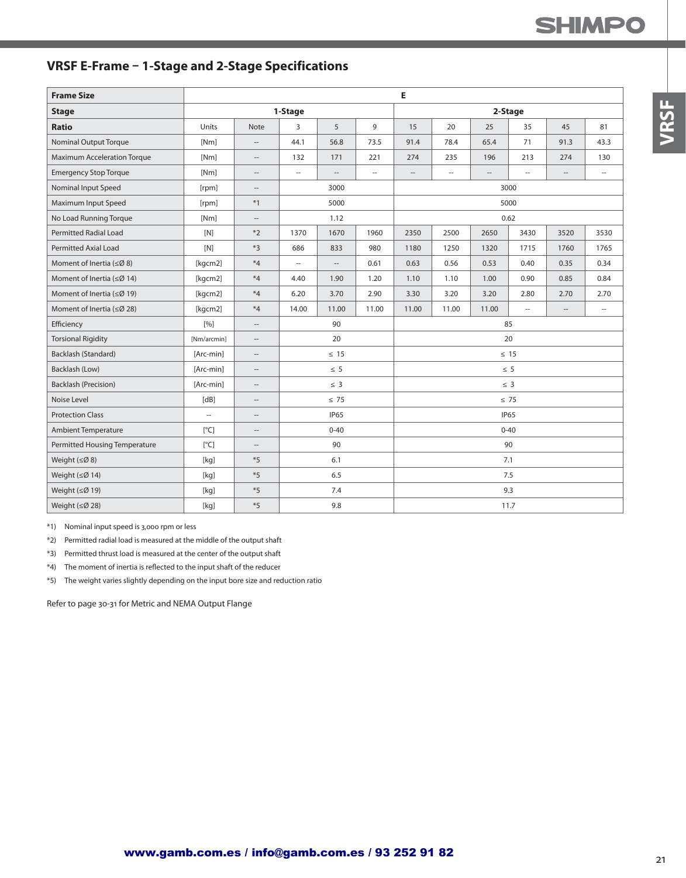## **SHIMPO**

## **VRSF E-Frame – 1-Stage and 2-Stage Specifications**

| <b>Frame Size</b>                  |               |                                                     | E<br>1-Stage<br>2-Stage<br>5<br>9<br>20<br>3<br>15<br>25<br>35<br>45<br>44.1<br>56.8<br>73.5<br>91.4<br>78.4<br>65.4<br>71<br>91.3<br>221<br>274<br>235<br>132<br>171<br>196<br>213<br>274<br>Ξ.<br>$\overline{\phantom{a}}$<br>$\overline{\phantom{a}}$<br>$\overline{\phantom{a}}$<br>$\overline{a}$<br>--<br>$\hspace{0.05cm} \ldots$<br>$\cdots$<br>3000<br>3000<br>5000<br>5000<br>0.62<br>1.12<br>1670<br>1370<br>1960<br>2350<br>2500<br>2650<br>3430<br>3520<br>833<br>980<br>686<br>1180<br>1250<br>1320<br>1715<br>1760<br>0.61<br>0.63<br>0.56<br>0.53<br>0.40<br>0.35<br>L.<br>--<br>1.10<br>1.00<br>0.90<br>0.85<br>4.40<br>1.90<br>1.20<br>1.10<br>6.20<br>3.70<br>2.90<br>3.30<br>3.20<br>3.20<br>2.80<br>2.70<br>14.00<br>11.00<br>11.00<br>11.00<br>11.00<br>11.00<br>Ξ.<br>--<br>90<br>85<br>20<br>20<br>$\leq 15$<br>$\leq 15$<br>$\leq 5$<br>$\leq 5$<br>$\leq$ 3<br>$\leq 3$<br>$\leq 75$<br>$\leq 75$<br><b>IP65</b><br><b>IP65</b><br>$0 - 40$<br>$0 - 40$<br>90<br>90<br>6.1<br>7.1 |     |  |  |  |  |      |  |                          |  |  |
|------------------------------------|---------------|-----------------------------------------------------|-------------------------------------------------------------------------------------------------------------------------------------------------------------------------------------------------------------------------------------------------------------------------------------------------------------------------------------------------------------------------------------------------------------------------------------------------------------------------------------------------------------------------------------------------------------------------------------------------------------------------------------------------------------------------------------------------------------------------------------------------------------------------------------------------------------------------------------------------------------------------------------------------------------------------------------------------------------------------------------------------------------|-----|--|--|--|--|------|--|--------------------------|--|--|
| <b>Stage</b>                       |               |                                                     |                                                                                                                                                                                                                                                                                                                                                                                                                                                                                                                                                                                                                                                                                                                                                                                                                                                                                                                                                                                                             |     |  |  |  |  |      |  |                          |  |  |
| <b>Ratio</b>                       | Units         | Note                                                |                                                                                                                                                                                                                                                                                                                                                                                                                                                                                                                                                                                                                                                                                                                                                                                                                                                                                                                                                                                                             |     |  |  |  |  |      |  | 81                       |  |  |
| <b>Nominal Output Torque</b>       | [Nm]          | $-\!$                                               |                                                                                                                                                                                                                                                                                                                                                                                                                                                                                                                                                                                                                                                                                                                                                                                                                                                                                                                                                                                                             |     |  |  |  |  |      |  | 43.3                     |  |  |
| <b>Maximum Acceleration Torque</b> | [Nm]          | $\cdots$                                            |                                                                                                                                                                                                                                                                                                                                                                                                                                                                                                                                                                                                                                                                                                                                                                                                                                                                                                                                                                                                             |     |  |  |  |  |      |  | 130                      |  |  |
| <b>Emergency Stop Torque</b>       | [Nm]          | $\hspace{0.05cm}--\hspace{0.05cm}$                  |                                                                                                                                                                                                                                                                                                                                                                                                                                                                                                                                                                                                                                                                                                                                                                                                                                                                                                                                                                                                             |     |  |  |  |  |      |  | $\cdots$                 |  |  |
| Nominal Input Speed                | [rpm]         | $\hspace{0.05cm} -\hspace{0.05cm} -\hspace{0.05cm}$ |                                                                                                                                                                                                                                                                                                                                                                                                                                                                                                                                                                                                                                                                                                                                                                                                                                                                                                                                                                                                             |     |  |  |  |  |      |  |                          |  |  |
| Maximum Input Speed                | [rpm]         | $*1$                                                |                                                                                                                                                                                                                                                                                                                                                                                                                                                                                                                                                                                                                                                                                                                                                                                                                                                                                                                                                                                                             |     |  |  |  |  |      |  |                          |  |  |
| No Load Running Torque             | [Nm]          | $\cdots$                                            |                                                                                                                                                                                                                                                                                                                                                                                                                                                                                                                                                                                                                                                                                                                                                                                                                                                                                                                                                                                                             |     |  |  |  |  |      |  |                          |  |  |
| <b>Permitted Radial Load</b>       | [N]           | $*2$                                                |                                                                                                                                                                                                                                                                                                                                                                                                                                                                                                                                                                                                                                                                                                                                                                                                                                                                                                                                                                                                             |     |  |  |  |  |      |  | 3530                     |  |  |
| <b>Permitted Axial Load</b>        | [N]           | $*3$                                                |                                                                                                                                                                                                                                                                                                                                                                                                                                                                                                                                                                                                                                                                                                                                                                                                                                                                                                                                                                                                             |     |  |  |  |  |      |  | 1765                     |  |  |
| Moment of Inertia ( $\leq$ Ø 8)    | [kgcm2]       | $*4$                                                |                                                                                                                                                                                                                                                                                                                                                                                                                                                                                                                                                                                                                                                                                                                                                                                                                                                                                                                                                                                                             |     |  |  |  |  |      |  | 0.34                     |  |  |
| Moment of Inertia ( $\leq$ Ø 14)   | [kgcm2]       | $*4$                                                |                                                                                                                                                                                                                                                                                                                                                                                                                                                                                                                                                                                                                                                                                                                                                                                                                                                                                                                                                                                                             |     |  |  |  |  |      |  | 0.84                     |  |  |
| Moment of Inertia ( $\leq$ Ø 19)   | [kgcm2]       | $*4$                                                |                                                                                                                                                                                                                                                                                                                                                                                                                                                                                                                                                                                                                                                                                                                                                                                                                                                                                                                                                                                                             |     |  |  |  |  |      |  | 2.70                     |  |  |
| Moment of Inertia ( $\leq$ Ø 28)   | [kgcm2]       | $*4$                                                |                                                                                                                                                                                                                                                                                                                                                                                                                                                                                                                                                                                                                                                                                                                                                                                                                                                                                                                                                                                                             |     |  |  |  |  |      |  | $\overline{\phantom{a}}$ |  |  |
| Efficiency                         | [%]           | $\hspace{0.05cm} -\hspace{0.05cm}$                  |                                                                                                                                                                                                                                                                                                                                                                                                                                                                                                                                                                                                                                                                                                                                                                                                                                                                                                                                                                                                             |     |  |  |  |  |      |  |                          |  |  |
| <b>Torsional Rigidity</b>          | [Nm/arcmin]   | $-\!$                                               |                                                                                                                                                                                                                                                                                                                                                                                                                                                                                                                                                                                                                                                                                                                                                                                                                                                                                                                                                                                                             |     |  |  |  |  |      |  |                          |  |  |
| Backlash (Standard)                | [Arc-min]     | $\hspace{0.05cm}--\hspace{0.05cm}$                  |                                                                                                                                                                                                                                                                                                                                                                                                                                                                                                                                                                                                                                                                                                                                                                                                                                                                                                                                                                                                             |     |  |  |  |  |      |  |                          |  |  |
| Backlash (Low)                     | [Arc-min]     | $\hspace{0.05cm} -\hspace{0.05cm} -\hspace{0.05cm}$ |                                                                                                                                                                                                                                                                                                                                                                                                                                                                                                                                                                                                                                                                                                                                                                                                                                                                                                                                                                                                             |     |  |  |  |  |      |  |                          |  |  |
| <b>Backlash (Precision)</b>        | [Arc-min]     | $-\!$                                               |                                                                                                                                                                                                                                                                                                                                                                                                                                                                                                                                                                                                                                                                                                                                                                                                                                                                                                                                                                                                             |     |  |  |  |  |      |  |                          |  |  |
| Noise Level                        | [dB]          | $\hspace{0.05cm} -\hspace{0.05cm} -\hspace{0.05cm}$ |                                                                                                                                                                                                                                                                                                                                                                                                                                                                                                                                                                                                                                                                                                                                                                                                                                                                                                                                                                                                             |     |  |  |  |  |      |  |                          |  |  |
| <b>Protection Class</b>            | ä,            | $\hspace{0.05cm} -\hspace{0.05cm} -\hspace{0.05cm}$ |                                                                                                                                                                                                                                                                                                                                                                                                                                                                                                                                                                                                                                                                                                                                                                                                                                                                                                                                                                                                             |     |  |  |  |  |      |  |                          |  |  |
| Ambient Temperature                | $[^{\circ}C]$ | $-\hbox{--}$                                        |                                                                                                                                                                                                                                                                                                                                                                                                                                                                                                                                                                                                                                                                                                                                                                                                                                                                                                                                                                                                             |     |  |  |  |  |      |  |                          |  |  |
| Permitted Housing Temperature      | [°C]          | $\qquad \qquad -$                                   |                                                                                                                                                                                                                                                                                                                                                                                                                                                                                                                                                                                                                                                                                                                                                                                                                                                                                                                                                                                                             |     |  |  |  |  |      |  |                          |  |  |
| Weight $(\leq \emptyset 8)$        | [kq]          | $*5$                                                |                                                                                                                                                                                                                                                                                                                                                                                                                                                                                                                                                                                                                                                                                                                                                                                                                                                                                                                                                                                                             |     |  |  |  |  |      |  |                          |  |  |
| Weight $(\leq \emptyset 14)$       | [kq]          | $*5$                                                |                                                                                                                                                                                                                                                                                                                                                                                                                                                                                                                                                                                                                                                                                                                                                                                                                                                                                                                                                                                                             | 6.5 |  |  |  |  | 7.5  |  |                          |  |  |
| Weight (≤Ø 19)                     | [kq]          | $*5$                                                |                                                                                                                                                                                                                                                                                                                                                                                                                                                                                                                                                                                                                                                                                                                                                                                                                                                                                                                                                                                                             | 7.4 |  |  |  |  | 9.3  |  |                          |  |  |
| Weight (≤Ø 28)                     | [kg]          | $*5$                                                |                                                                                                                                                                                                                                                                                                                                                                                                                                                                                                                                                                                                                                                                                                                                                                                                                                                                                                                                                                                                             | 9.8 |  |  |  |  | 11.7 |  |                          |  |  |

\*1) Nominal input speed is 3,000 rpm or less

\*2) Permitted radial load is measured at the middle of the output shaft

\*3) Permitted thrust load is measured at the center of the output shaft

\*4) The moment of inertia is reflected to the input shaft of the reducer

\*5) The weight varies slightly depending on the input bore size and reduction ratio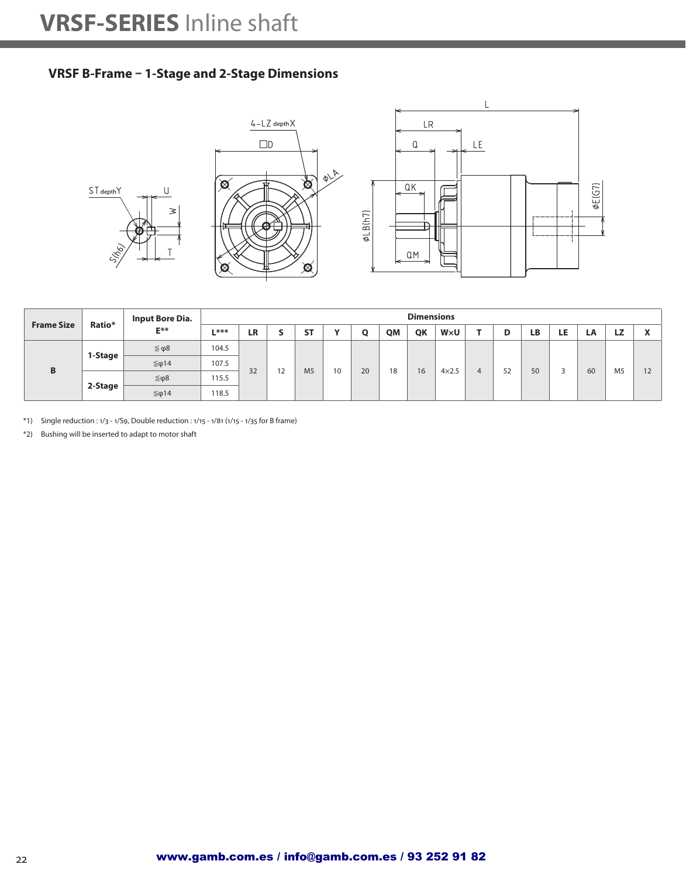#### **VRSF B-Frame – 1-Stage and 2-Stage Dimensions**



|                   | Ratio*  | Input Bore Dia.  |        |           |    |                |              |    |    | <b>Dimensions</b> |              |   |    |    |     |    |                |              |
|-------------------|---------|------------------|--------|-----------|----|----------------|--------------|----|----|-------------------|--------------|---|----|----|-----|----|----------------|--------------|
| <b>Frame Size</b> |         | $E^{**}$         | $L***$ | <b>LR</b> |    | <b>ST</b>      | $\mathbf{v}$ | Ο  | QM | QK                | W×U          |   | D  | LB | LE. | LA | LZ             | $\mathbf{r}$ |
|                   |         | $\leq \varphi 8$ | 104.5  |           |    |                |              |    |    |                   |              |   |    |    |     |    |                |              |
| B                 | 1-Stage | $≤$ φ14          | 107.5  | 32        | 12 | M <sub>5</sub> | 10           | 20 | 18 | 16                | $4\times2.5$ | 4 | 52 | 50 |     | 60 | M <sub>5</sub> | 12           |
|                   |         | ≤φ8              | 115.5  |           |    |                |              |    |    |                   |              |   |    |    |     |    |                |              |
|                   | 2-Stage | $≤$ φ14          | 118.5  |           |    |                |              |    |    |                   |              |   |    |    |     |    |                |              |

\*1) Single reduction : 1/3 - 1/S9, Double reduction : 1/15 - 1/81 (1/15 - 1/35 for B frame)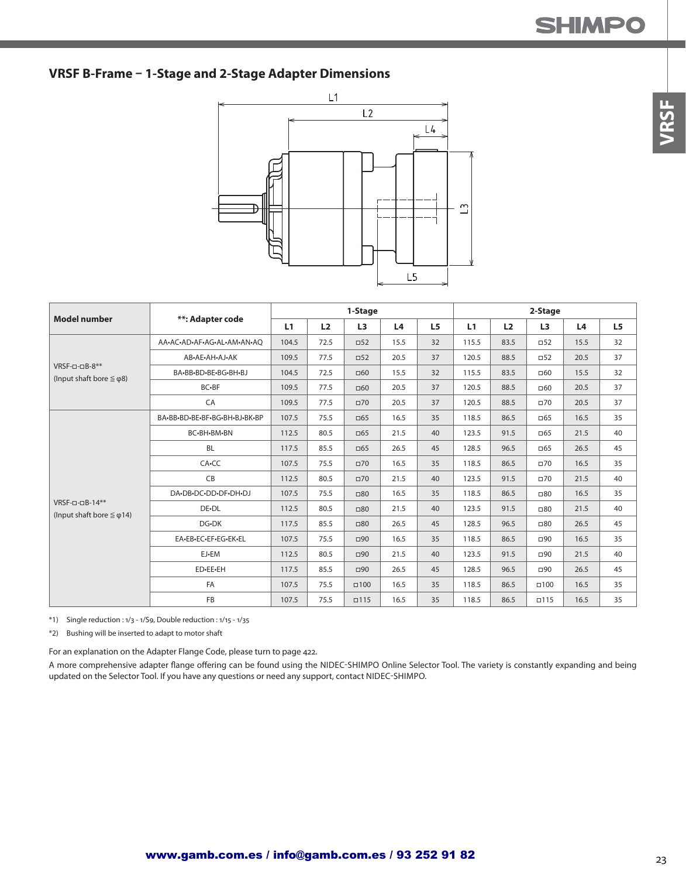#### **VRSF B-Frame – 1-Stage and 2-Stage Adapter Dimensions**



| <b>Model number</b>                                           |                               |       |      | 1-Stage        |      |                |       |                | 2-Stage        |      |                |
|---------------------------------------------------------------|-------------------------------|-------|------|----------------|------|----------------|-------|----------------|----------------|------|----------------|
|                                                               | **: Adapter code              | L1    | L2   | L <sub>3</sub> | L4   | L <sub>5</sub> | L1    | L <sub>2</sub> | L <sub>3</sub> | L4   | L <sub>5</sub> |
|                                                               | AA-AC-AD-AF-AG-AL-AM-AN-AO    | 104.5 | 72.5 | $\square$ 52   | 15.5 | 32             | 115.5 | 83.5           | $\square$ 52   | 15.5 | 32             |
|                                                               | AB-AE-AH-AJ-AK                | 109.5 | 77.5 | $\square$ 52   | 20.5 | 37             | 120.5 | 88.5           | $\square$ 52   | 20.5 | 37             |
| $VRSF$ -0-0 $B$ -8**<br>(Input shaft bore $\leq \varphi$ 8)   | BA-BB-BD-BE-BG-BH-BJ          | 104.5 | 72.5 | $\Box 60$      | 15.5 | 32             | 115.5 | 83.5           | $\square 60$   | 15.5 | 32             |
|                                                               | BC-BF                         | 109.5 | 77.5 | $\Box 60$      | 20.5 | 37             | 120.5 | 88.5           | $\Box 60$      | 20.5 | 37             |
|                                                               | CA                            | 109.5 | 77.5 | $\square$ 70   | 20.5 | 37             | 120.5 | 88.5           | $\square$ 70   | 20.5 | 37             |
|                                                               | BA-BB-BD-BE-BF-BG-BH-BJ-BK-BP | 107.5 | 75.5 | $\Box$ 65      | 16.5 | 35             | 118.5 | 86.5           | $\Box$ 65      | 16.5 | 35             |
|                                                               | BC-BH-BM-BN                   | 112.5 | 80.5 | $\Box$ 65      | 21.5 | 40             | 123.5 | 91.5           | $\Box$ 65      | 21.5 | 40             |
|                                                               | <b>BL</b>                     | 117.5 | 85.5 | $\Box$ 65      | 26.5 | 45             | 128.5 | 96.5           | $\Box$ 65      | 26.5 | 45             |
|                                                               | CA-CC                         | 107.5 | 75.5 | $\square$ 70   | 16.5 | 35             | 118.5 | 86.5           | $\Box$ 70      | 16.5 | 35             |
|                                                               | CB                            | 112.5 | 80.5 | $\square$ 70   | 21.5 | 40             | 123.5 | 91.5           | $\Box$ 70      | 21.5 | 40             |
|                                                               | DA-DB-DC-DD-DF-DH-DJ          | 107.5 | 75.5 | $\square 80$   | 16.5 | 35             | 118.5 | 86.5           | $\square 80$   | 16.5 | 35             |
| $VRSF$ -0-0 $B$ -14**<br>(Input shaft bore $\leq \varphi$ 14) | DE-DL                         | 112.5 | 80.5 | $\square 80$   | 21.5 | 40             | 123.5 | 91.5           | $\square 80$   | 21.5 | 40             |
|                                                               | DG-DK                         | 117.5 | 85.5 | $\square 80$   | 26.5 | 45             | 128.5 | 96.5           | $\square 80$   | 26.5 | 45             |
|                                                               | EA-EB-EC-EF-EG-EK-EL          | 107.5 | 75.5 | $\Box$ 90      | 16.5 | 35             | 118.5 | 86.5           | $\square$ 90   | 16.5 | 35             |
|                                                               | EJ-EM                         | 112.5 | 80.5 | $\Box$ 90      | 21.5 | 40             | 123.5 | 91.5           | $\Box$ 90      | 21.5 | 40             |
|                                                               | ED-EE-EH                      | 117.5 | 85.5 | $\Box$ 90      | 26.5 | 45             | 128.5 | 96.5           | $\square$ 90   | 26.5 | 45             |
|                                                               | FA                            | 107.5 | 75.5 | $\Box 100$     | 16.5 | 35             | 118.5 | 86.5           | $\square$ 100  | 16.5 | 35             |
|                                                               | FB                            | 107.5 | 75.5 | $\Box$         | 16.5 | 35             | 118.5 | 86.5           | $\square$ 115  | 16.5 | 35             |

\*1) Single reduction : 1/3 - 1/S9, Double reduction : 1/15 - 1/35

\*2) Bushing will be inserted to adapt to motor shaft

For an explanation on the Adapter Flange Code, please turn to page 422.

A more comprehensive adapter flange offering can be found using the NIDEC-SHIMPO Online Selector Tool. The variety is constantly expanding and being updated on the Selector Tool. If you have any questions or need any support, contact NIDEC-SHIMPO.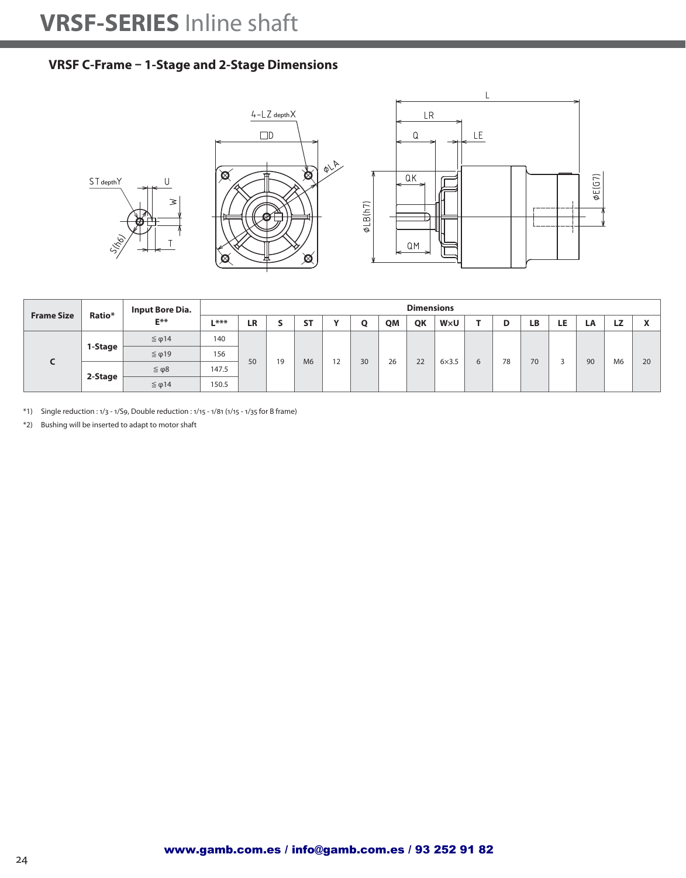### **VRSF C-Frame – 1-Stage and 2-Stage Dimensions**



| <b>Frame Size</b> | Ratio*  | <b>Input Bore Dia.</b> |        |    |    |                |              |    |    | <b>Dimensions</b> |              |   |    |    |     |    |                |    |
|-------------------|---------|------------------------|--------|----|----|----------------|--------------|----|----|-------------------|--------------|---|----|----|-----|----|----------------|----|
|                   |         | $E***$                 | $L***$ | LR |    | <b>ST</b>      | $\mathbf{v}$ | Ο  | QM | QK                | W×U          |   | D  | LΒ | LE. | LA | <b>LZ</b>      |    |
|                   |         | $\leq \varphi$ 14      | 140    |    |    |                |              |    |    |                   |              |   |    |    |     |    |                |    |
|                   | 1-Stage | $≤$ φ19                | 156    | 50 | 19 | M <sub>6</sub> | 12           | 30 | 26 | 22                | $6\times3.5$ |   | 78 | 70 |     | 90 | M <sub>6</sub> | 20 |
|                   |         | $\leq \varphi 8$       | 147.5  |    |    |                |              |    |    |                   |              | 6 |    |    |     |    |                |    |
|                   | 2-Stage | $\leq$ φ14             | 150.5  |    |    |                |              |    |    |                   |              |   |    |    |     |    |                |    |

\*1) Single reduction : 1/3 - 1/S9, Double reduction : 1/15 - 1/81 (1/15 - 1/35 for B frame)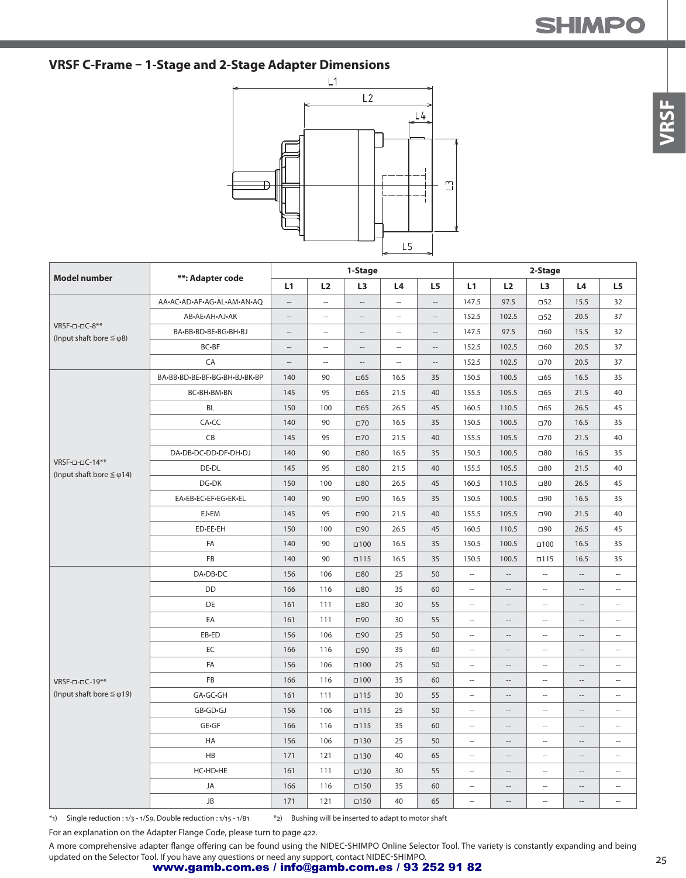## **VRSF C-Frame – 1-Stage and 2-Stage Adapter Dimensions**



|                                                               |                               |                          |                          | 1-Stage                                             |                          |                          |                          |                          | 2-Stage                  |                          |                          |
|---------------------------------------------------------------|-------------------------------|--------------------------|--------------------------|-----------------------------------------------------|--------------------------|--------------------------|--------------------------|--------------------------|--------------------------|--------------------------|--------------------------|
| <b>Model number</b>                                           | **: Adapter code              | L1                       | L2                       | L <sub>3</sub>                                      | L4                       | L <sub>5</sub>           | L1                       | L2                       | L3                       | L4                       | L5                       |
|                                                               | AA-AC-AD-AF-AG-AL-AM-AN-AQ    | $\overline{\phantom{a}}$ | $\overline{\phantom{a}}$ | $\overline{\phantom{a}}$                            | $\overline{\phantom{a}}$ | $\overline{\phantom{a}}$ | 147.5                    | 97.5                     | $\square$ 52             | 15.5                     | 32                       |
|                                                               | AB-AE-AH-AJ-AK                | $\overline{\phantom{a}}$ | $\overline{\phantom{a}}$ | $\hspace{0.05cm} -\hspace{0.05cm} -\hspace{0.05cm}$ | $\overline{\phantom{a}}$ | $\overline{\phantom{a}}$ | 152.5                    | 102.5                    | $\Box$ 52                | 20.5                     | 37                       |
| $VRSF$ -0-0 $C$ -8**<br>(Input shaft bore $\leq \varphi$ 8)   | BA-BB-BD-BE-BG-BH-BJ          | $\qquad \qquad -$        | $\overline{\phantom{a}}$ | $\hspace{0.05cm} -\hspace{0.05cm} -\hspace{0.05cm}$ | $\overline{\phantom{a}}$ | $\overline{\phantom{a}}$ | 147.5                    | 97.5                     | $\square 60$             | 15.5                     | 32                       |
|                                                               | BC-BF                         | $\qquad \qquad -$        | $\overline{\phantom{a}}$ | $\overline{\phantom{a}}$                            | $\overline{\phantom{a}}$ | $\overline{\phantom{a}}$ | 152.5                    | 102.5                    | $\square 60$             | 20.5                     | 37                       |
|                                                               | CA                            | $\overline{\phantom{a}}$ | $\sim$                   | $\overline{\phantom{a}}$                            | $\overline{\phantom{a}}$ | $\sim$                   | 152.5                    | 102.5                    | $\square$ 70             | 20.5                     | 37                       |
|                                                               | BA-BB-BD-BE-BF-BG-BH-BJ-BK-BP | 140                      | 90                       | $\square$ 65                                        | 16.5                     | 35                       | 150.5                    | 100.5                    | $\square$ 65             | 16.5                     | 35                       |
|                                                               | BC-BH-BM-BN                   | 145                      | 95                       | $\square$ 65                                        | 21.5                     | 40                       | 155.5                    | 105.5                    | $\square$ 65             | 21.5                     | 40                       |
|                                                               | <b>BL</b>                     | 150                      | 100                      | $\Box$ 65                                           | 26.5                     | 45                       | 160.5                    | 110.5                    | $\square$ 65             | 26.5                     | 45                       |
|                                                               | CA-CC                         | 140                      | 90                       | $\square 70$                                        | 16.5                     | 35                       | 150.5                    | 100.5                    | $\square$ 70             | 16.5                     | 35                       |
|                                                               | CB                            | 145                      | 95                       | $\square 70$                                        | 21.5                     | 40                       | 155.5                    | 105.5                    | $\square$ 70             | 21.5                     | 40                       |
|                                                               | DA-DB-DC-DD-DF-DH-DJ          | 140                      | 90                       | $\square 80$                                        | 16.5                     | 35                       | 150.5                    | 100.5                    | $\square 80$             | 16.5                     | 35                       |
| $VRSF$ -0-0 $C$ -14**<br>(Input shaft bore $\leq \varphi$ 14) | DE-DL                         | 145                      | 95                       | $\square 80$                                        | 21.5                     | 40                       | 155.5                    | 105.5                    | $\square 80$             | 21.5                     | 40                       |
|                                                               | DG-DK                         | 150                      | 100                      | $\square 80$                                        | 26.5                     | 45                       | 160.5                    | 110.5                    | $\square 80$             | 26.5                     | 45                       |
|                                                               | EA-EB-EC-EF-EG-EK-EL          | 140                      | 90                       | $\square$ 90                                        | 16.5                     | 35                       | 150.5                    | 100.5                    | $\square$ 90             | 16.5                     | 35                       |
|                                                               | EJ-EM                         | 145                      | 95                       | $\square$ 90                                        | 21.5                     | 40                       | 155.5                    | 105.5                    | $\square$ 90             | 21.5                     | 40                       |
|                                                               | ED-EE-EH                      | 150                      | 100                      | $\square$ 90                                        | 26.5                     | 45                       | 160.5                    | 110.5                    | $\square$ 90             | 26.5                     | 45                       |
|                                                               | FA                            | 140                      | 90                       | $\Box 100$                                          | 16.5                     | 35                       | 150.5                    | 100.5                    | $\square$ 100            | 16.5                     | 35                       |
|                                                               | FB                            | 140                      | 90                       | $\square$ 115                                       | 16.5                     | 35                       | 150.5                    | 100.5                    | $\square$ 115            | 16.5                     | 35                       |
|                                                               | DA-DB-DC                      | 156                      | 106                      | $\square 80$                                        | 25                       | 50                       | $\bar{\phantom{a}}$      | $\overline{\phantom{a}}$ | $\overline{\phantom{a}}$ | $\overline{\phantom{a}}$ | Ξ.                       |
|                                                               | <b>DD</b>                     | 166                      | 116                      | $\Box 80$                                           | 35                       | 60                       | $\overline{\phantom{a}}$ | $\overline{\phantom{a}}$ | u.                       | $\cdots$                 | u.                       |
|                                                               | DE                            | 161                      | 111                      | $\Box 80$                                           | 30                       | 55                       | $\overline{\phantom{a}}$ | $\overline{\phantom{a}}$ | $\overline{\phantom{a}}$ | $\cdots$                 | $\overline{\phantom{a}}$ |
|                                                               | EA                            | 161                      | 111                      | $\square$ 90                                        | 30                       | 55                       | $\overline{\phantom{a}}$ | $\overline{\phantom{a}}$ | Ξ.                       | $\overline{\phantom{a}}$ | Ξ.                       |
|                                                               | EB-ED                         | 156                      | 106                      | $\square$ 90                                        | 25                       | 50                       | $\overline{\phantom{a}}$ | $\overline{\phantom{a}}$ | $\overline{\phantom{a}}$ | $\cdots$                 | --                       |
|                                                               | EC                            | 166                      | 116                      | $\square$ 90                                        | 35                       | 60                       | $\sim$                   | $\overline{\phantom{a}}$ | $\overline{\phantom{a}}$ | $\hspace{0.05cm} -$      | $\overline{\phantom{a}}$ |
|                                                               | FA                            | 156                      | 106                      | $\square$ 100                                       | 25                       | 50                       | $\sim$                   | $\overline{\phantom{a}}$ | $\overline{a}$           | $\overline{\phantom{a}}$ | $\overline{a}$           |
| VRSF-0-0C-19**                                                | <b>FB</b>                     | 166                      | 116                      | $\Box 100$                                          | 35                       | 60                       | $\sim$                   | $\overline{\phantom{a}}$ | $\overline{\phantom{a}}$ | $\overline{\phantom{a}}$ | $\overline{\phantom{a}}$ |
| (Input shaft bore $\leq \varphi$ 19)                          | GA-GC-GH                      | 161                      | 111                      | $\square$ 115                                       | 30                       | 55                       | $\sim$                   | $\overline{\phantom{a}}$ | L.                       | $\overline{\phantom{a}}$ | $\overline{\phantom{a}}$ |
|                                                               | GB•GD•GJ                      | 156                      | 106                      | $\square$ 115                                       | 25                       | 50                       | $\overline{\phantom{a}}$ | $-\!$                    | $\overline{\phantom{a}}$ | $\hspace{0.05cm} -$      | Ξ.                       |
|                                                               | GE-GF                         | 166                      | 116                      | $\square$ 115                                       | 35                       | 60                       | $\overline{\phantom{a}}$ | $\qquad \qquad -$        | $\overline{\phantom{a}}$ | $\qquad \qquad -$        | $\frac{1}{2}$            |
|                                                               | HA                            | 156                      | 106                      | $\square$ 130                                       | 25                       | 50                       | $\overline{\phantom{a}}$ | $\overline{\phantom{a}}$ | $\overline{\phantom{a}}$ | $\overline{\phantom{a}}$ | $\overline{\phantom{a}}$ |
|                                                               | HB                            | 171                      | 121                      | $\square$ 130                                       | 40                       | 65                       | $\overline{\phantom{a}}$ | $\overline{\phantom{a}}$ | $\sim$                   | $\overline{\phantom{a}}$ | Ξ.                       |
|                                                               | HC-HD-HE                      | 161                      | 111                      | $\square$ 130                                       | 30                       | 55                       | $\overline{\phantom{a}}$ | $-\,$                    | $\overline{\phantom{a}}$ | $-\!$                    | --                       |
|                                                               | JA                            | 166                      | 116                      | $\Box$ 150                                          | 35                       | 60                       | $\overline{\phantom{a}}$ | $\overline{\phantom{a}}$ | $\overline{\phantom{a}}$ | $\overline{\phantom{a}}$ | --                       |
|                                                               | JB                            | 171                      | 121                      | $\square$ 150                                       | 40                       | 65                       | $\overline{\phantom{a}}$ | $\overline{\phantom{a}}$ | $\overline{\phantom{a}}$ | $\cdots$                 | --                       |

 $*$ 1) Single reduction : 1/3 - 1/S9, Double reduction : 1/15 - 1/81 \*2) Bushing will be inserted to adapt to motor shaft

For an explanation on the Adapter Flange Code, please turn to page 422.

A more comprehensive adapter flange offering can be found using the NIDEC-SHIMPO Online Selector Tool. The variety is constantly expanding and being updated on the Selector Tool. If you have any questions or need any support, contact NIDEC-SHIMPO.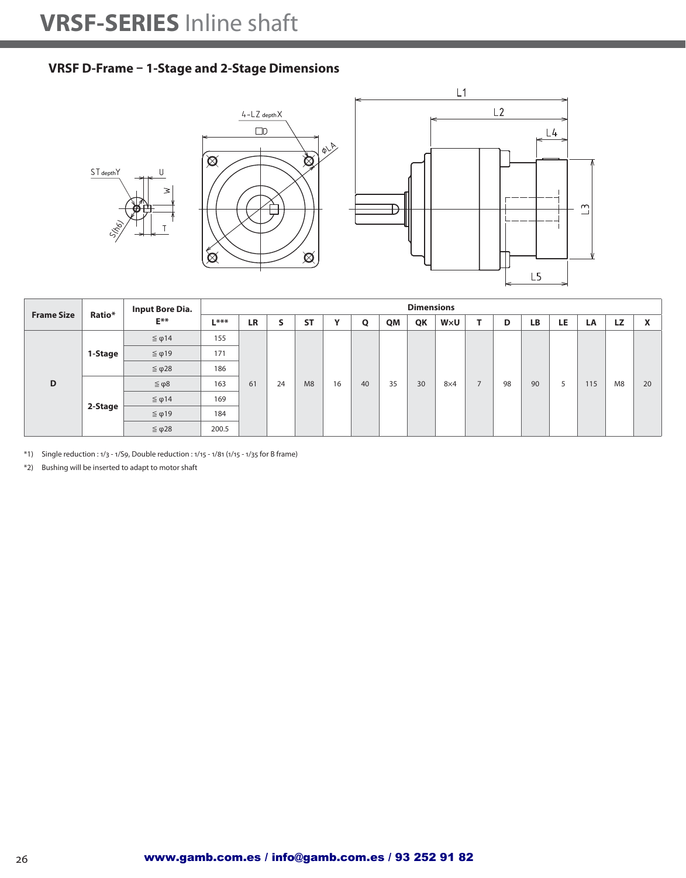#### **VRSF D-Frame – 1-Stage and 2-Stage Dimensions**







|                   |         | <b>Input Bore Dia.</b> |        |           |        |           |              |    |    | <b>Dimensions</b> |            |                |    |    |     |     |           |                           |
|-------------------|---------|------------------------|--------|-----------|--------|-----------|--------------|----|----|-------------------|------------|----------------|----|----|-----|-----|-----------|---------------------------|
| <b>Frame Size</b> | Ratio*  | $E^{**}$               | $L***$ | <b>LR</b> | c<br>∍ | <b>ST</b> | $\mathbf{v}$ | Q  | QM | QK                | WxU        |                | D  | LB | LE. | LA  | <b>LZ</b> | $\mathbf{v}$<br>$\lambda$ |
|                   |         | $\leq \varphi$ 14      | 155    |           |        |           |              |    |    |                   |            |                |    |    |     |     |           |                           |
|                   | 1-Stage | $≤$ φ19                | 171    |           |        |           |              |    |    |                   |            |                |    |    |     |     |           |                           |
|                   |         | $≤$ φ28                | 186    |           |        |           |              |    |    |                   |            |                |    |    |     |     |           |                           |
| D                 |         | $\leq \varphi 8$       | 163    | 61        | 24     | M8        | 16           | 40 | 35 | 30                | $8\times4$ | $\overline{ }$ | 98 | 90 | 5   | 115 | M8        | 20                        |
|                   |         | $≤$ φ14                | 169    |           |        |           |              |    |    |                   |            |                |    |    |     |     |           |                           |
|                   | 2-Stage | $≤$ φ19                | 184    |           |        |           |              |    |    |                   |            |                |    |    |     |     |           |                           |
|                   |         | $≤$ φ28                | 200.5  |           |        |           |              |    |    |                   |            |                |    |    |     |     |           |                           |

\*1) Single reduction : 1/3 - 1/S9, Double reduction : 1/15 - 1/81 (1/15 - 1/35 for B frame)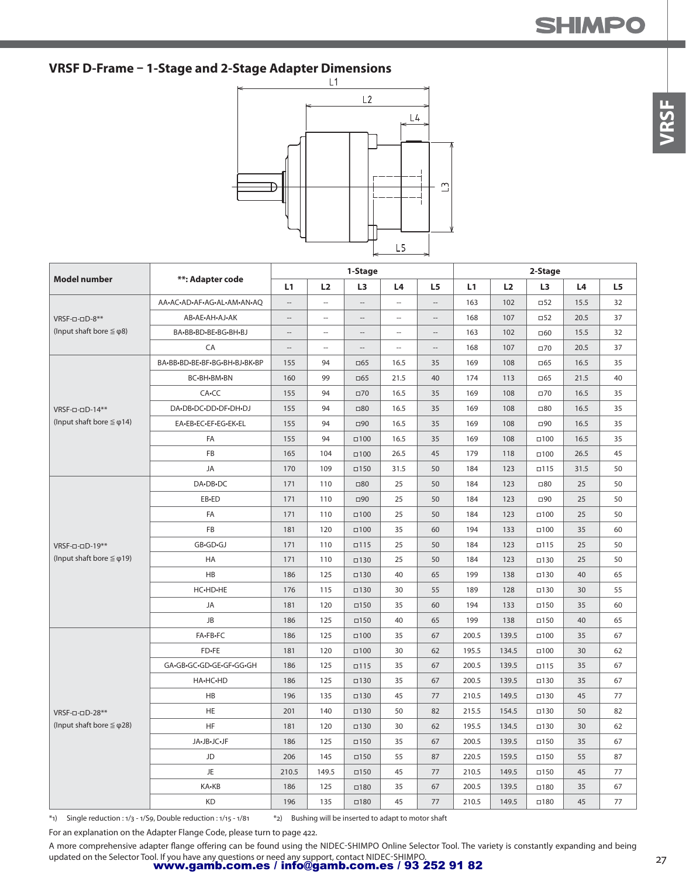## **VRSF D-Frame – 1-Stage and 2-Stage Adapter Dimensions**



|                                      |                               |                          |                          | 1-Stage                  |                          |                          |       |       | 2-Stage        |      |    |
|--------------------------------------|-------------------------------|--------------------------|--------------------------|--------------------------|--------------------------|--------------------------|-------|-------|----------------|------|----|
| <b>Model number</b>                  | **: Adapter code              | L1                       | L2                       | L <sub>3</sub>           | L4                       | L5                       | L1    | L2    | L <sub>3</sub> | L4   | L5 |
|                                      | AA-AC-AD-AF-AG-AL-AM-AN-AQ    | $\cdots$                 | $\overline{\phantom{a}}$ | $\overline{\phantom{a}}$ | $\overline{\phantom{a}}$ | $\overline{\phantom{a}}$ | 163   | 102   | $\square$ 52   | 15.5 | 32 |
| VRSF-0-0D-8**                        | AB-AE-AH-AJ-AK                | $\overline{\phantom{a}}$ | $\overline{\phantom{a}}$ |                          | $\overline{\phantom{a}}$ | $\overline{\phantom{a}}$ | 168   | 107   | $\Box$ 52      | 20.5 | 37 |
| (Input shaft bore $\leq \varphi$ 8)  | BA-BB-BD-BE-BG-BH-BJ          | $\cdots$                 | $\overline{\phantom{a}}$ | $\overline{\phantom{a}}$ | $\overline{\phantom{a}}$ | $\overline{\phantom{a}}$ | 163   | 102   | □60            | 15.5 | 32 |
|                                      | CA                            | $\overline{\phantom{a}}$ | $\sim$                   | $-$                      | $\sim$                   | $\overline{\phantom{a}}$ | 168   | 107   | $\square$ 70   | 20.5 | 37 |
|                                      | BA-BB-BD-BE-BF-BG-BH-BJ-BK-BP | 155                      | 94                       | $\Box$ 65                | 16.5                     | 35                       | 169   | 108   | $\square$ 65   | 16.5 | 35 |
|                                      | BC-BH-BM-BN                   | 160                      | 99                       | $\Box$ 65                | 21.5                     | 40                       | 174   | 113   | $\Box$ 65      | 21.5 | 40 |
|                                      | CA-CC                         | 155                      | 94                       | $\square$ 70             | 16.5                     | 35                       | 169   | 108   | $\square$ 70   | 16.5 | 35 |
| VRSF-0-0D-14**                       | DA.DB.DC.DD.DF.DH.DJ          | 155                      | 94                       | $\square 80$             | 16.5                     | 35                       | 169   | 108   | $\square 80$   | 16.5 | 35 |
| (Input shaft bore $\leq \varphi$ 14) | EA-EB-EC-EF-EG-EK-EL          | 155                      | 94                       | $\square$ 90             | 16.5                     | 35                       | 169   | 108   | □90            | 16.5 | 35 |
|                                      | FA                            | 155                      | 94                       | $\Box 100$               | 16.5                     | 35                       | 169   | 108   | $\square$ 100  | 16.5 | 35 |
|                                      | FB                            | 165                      | 104                      | $\Box 100$               | 26.5                     | 45                       | 179   | 118   | $\square$ 100  | 26.5 | 45 |
|                                      | JA                            | 170                      | 109                      | $\square$ 150            | 31.5                     | 50                       | 184   | 123   | $\square$ 115  | 31.5 | 50 |
|                                      | DA-DB-DC                      | 171                      | 110                      | $\square 80$             | 25                       | 50                       | 184   | 123   | $\square 80$   | 25   | 50 |
|                                      | EB-ED                         | 171                      | 110                      | $\Box$ 90                | 25                       | 50                       | 184   | 123   | $\square$ 90   | 25   | 50 |
|                                      | FA                            | 171                      | 110                      | $\Box 100$               | 25                       | 50                       | 184   | 123   | $\square$ 100  | 25   | 50 |
|                                      | <b>FB</b>                     | 181                      | 120                      | $\Box 100$               | 35                       | 60                       | 194   | 133   | $\square$ 100  | 35   | 60 |
| VRSF-0-0D-19**                       | GB-GD-GJ                      | 171                      | 110                      | $\square$ 115            | 25                       | 50                       | 184   | 123   | $\square$ 115  | 25   | 50 |
| (Input shaft bore $\leq \varphi$ 19) | <b>HA</b>                     | 171                      | 110                      | $\square$ 130            | 25                       | 50                       | 184   | 123   | $\square$ 130  | 25   | 50 |
|                                      | <b>HB</b>                     | 186                      | 125                      | $\square$ 130            | 40                       | 65                       | 199   | 138   | $\square$ 130  | 40   | 65 |
|                                      | HC-HD-HE                      | 176                      | 115                      | $\square$ 130            | 30                       | 55                       | 189   | 128   | $\square$ 130  | 30   | 55 |
|                                      | JA                            | 181                      | 120                      | $\square$ 150            | 35                       | 60                       | 194   | 133   | $\square$ 150  | 35   | 60 |
|                                      | JB                            | 186                      | 125                      | $\square$ 150            | 40                       | 65                       | 199   | 138   | $\square$ 150  | 40   | 65 |
|                                      | FA-FB-FC                      | 186                      | 125                      | $\square$ 100            | 35                       | 67                       | 200.5 | 139.5 | $\square$ 100  | 35   | 67 |
|                                      | FD-FE                         | 181                      | 120                      | $\square$ 100            | 30                       | 62                       | 195.5 | 134.5 | $\square$ 100  | 30   | 62 |
|                                      | GA.GB.GC.GD.GE.GF.GG.GH       | 186                      | 125                      | $\Box$ 115               | 35                       | 67                       | 200.5 | 139.5 | $\square$ 115  | 35   | 67 |
|                                      | HA-HC-HD                      | 186                      | 125                      | $\square$ 130            | 35                       | 67                       | 200.5 | 139.5 | $\square$ 130  | 35   | 67 |
|                                      | HB                            | 196                      | 135                      | $\square$ 130            | 45                       | 77                       | 210.5 | 149.5 | $\square$ 130  | 45   | 77 |
| VRSF-0-0D-28**                       | <b>HE</b>                     | 201                      | 140                      | $\square$ 130            | 50                       | 82                       | 215.5 | 154.5 | $\square$ 130  | 50   | 82 |
| (Input shaft bore $\leq \varphi$ 28) | <b>HF</b>                     | 181                      | 120                      | $\square$ 130            | 30                       | 62                       | 195.5 | 134.5 | $\square$ 130  | 30   | 62 |
|                                      | JA-JB-JC-JF                   | 186                      | 125                      | $\square$ 150            | 35                       | 67                       | 200.5 | 139.5 | $\square$ 150  | 35   | 67 |
|                                      | JD                            | 206                      | 145                      | $\square$ 150            | 55                       | 87                       | 220.5 | 159.5 | $\square$ 150  | 55   | 87 |
|                                      | <b>JE</b>                     | 210.5                    | 149.5                    | $\square$ 150            | 45                       | 77                       | 210.5 | 149.5 | $\square$ 150  | 45   | 77 |
|                                      | KA-KB                         | 186                      | 125                      | $\square$ 180            | 35                       | 67                       | 200.5 | 139.5 | $\square$ 180  | 35   | 67 |
|                                      | KD                            | 196                      | 135                      | $\square$ 180            | 45                       | 77                       | 210.5 | 149.5 | $\square$ 180  | 45   | 77 |

 $*$ 1) Single reduction : 1/3 - 1/S9, Double reduction : 1/15 - 1/81 \*2) Bushing will be inserted to adapt to motor shaft

For an explanation on the Adapter Flange Code, please turn to page 422.

A more comprehensive adapter flange offering can be found using the NIDEC-SHIMPO Online Selector Tool. The variety is constantly expanding and being

updated on the Selector Tool. If you have any questions or need any support, contact NIDEC-SHIMPO.<br>**www.gamb.com.es / info@gamb.com.es / 93 252 91 82**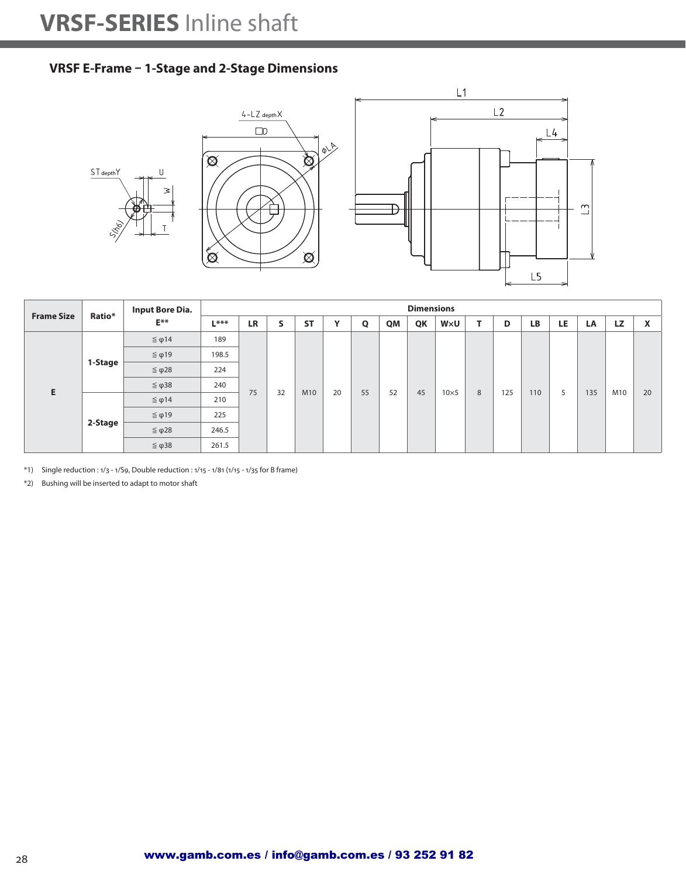#### **VRSF E-Frame – 1-Stage and 2-Stage Dimensions**







| <b>Frame Size</b> | Ratio*        | <b>Input Bore Dia.</b> |        |           |    |           |              |    |    | <b>Dimensions</b> |              |   |     |           |     |     |           |                             |
|-------------------|---------------|------------------------|--------|-----------|----|-----------|--------------|----|----|-------------------|--------------|---|-----|-----------|-----|-----|-----------|-----------------------------|
|                   |               | $E^{**}$               | $L***$ | <b>LR</b> | S  | <b>ST</b> | $\mathbf{v}$ | Q  | QM | QK                | WxU          |   | D   | <b>LB</b> | LE. | LA  | <b>LZ</b> | $\mathbf v$<br>$\mathbf{v}$ |
|                   |               | $≤$ φ14                | 189    |           |    |           |              |    |    |                   |              |   |     |           |     |     |           |                             |
|                   |               | $≤$ φ19                | 198.5  |           |    |           |              |    |    |                   |              |   |     |           |     |     |           |                             |
|                   | 1-Stage<br>E. | $≤$ φ28                | 224    |           |    |           |              |    |    |                   |              |   |     |           |     |     |           |                             |
|                   |               | $≤$ φ38                | 240    | 75        | 32 | M10       | 20           | 55 | 52 | 45                | $10\times 5$ | 8 | 125 | 110       | 5   | 135 | M10       | 20                          |
|                   |               | $\leq \varphi$ 14      | 210    |           |    |           |              |    |    |                   |              |   |     |           |     |     |           |                             |
|                   |               | $≤$ φ19                | 225    |           |    |           |              |    |    |                   |              |   |     |           |     |     |           |                             |
|                   | 2-Stage       | $≤$ φ28                | 246.5  |           |    |           |              |    |    |                   |              |   |     |           |     |     |           |                             |
|                   |               | $≤$ φ38                | 261.5  |           |    |           |              |    |    |                   |              |   |     |           |     |     |           |                             |

\*1) Single reduction : 1/3 - 1/S9, Double reduction : 1/15 - 1/81 (1/15 - 1/35 for B frame)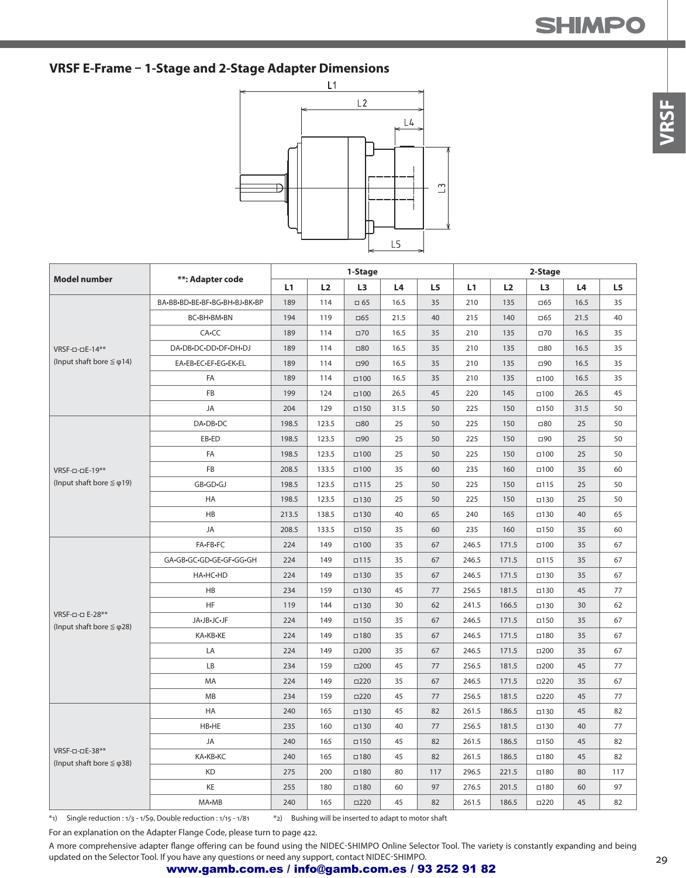#### **VRSF E-Frame – 1-Stage and 2-Stage Adapter Dimensions**



|                                                         |                               |       |       | 1-Stage        |      |                |       |       | 2-Stage       |      |     |
|---------------------------------------------------------|-------------------------------|-------|-------|----------------|------|----------------|-------|-------|---------------|------|-----|
| <b>Model number</b>                                     | **: Adapter code              | L1    | L2    | L <sub>3</sub> | L4   | L <sub>5</sub> | L1    | L2    | L3            | L4   | L5  |
|                                                         | BA-BB-BD-BE-BF-BG-BH-BJ-BK-BP | 189   | 114   | $\square$ 65   | 16.5 | 35             | 210   | 135   | $\Box$ 65     | 16.5 | 35  |
|                                                         | BC-BH-BM-BN                   | 194   | 119   | $\Box$ 65      | 21.5 | 40             | 215   | 140   | $\Box$ 65     | 21.5 | 40  |
|                                                         | CA-CC                         | 189   | 114   | $\square 70$   | 16.5 | 35             | 210   | 135   | $\square$ 70  | 16.5 | 35  |
| VRSF-0-0E-14**                                          | DA-DB-DC-DD-DF-DH-DJ          | 189   | 114   | $\square 80$   | 16.5 | 35             | 210   | 135   | $\square 80$  | 16.5 | 35  |
| (Input shaft bore $\leq \varphi$ 14)                    | EA-EB-EC-EF-EG-EK-EL          | 189   | 114   | $\Box 90$      | 16.5 | 35             | 210   | 135   | □90           | 16.5 | 35  |
|                                                         | FA                            | 189   | 114   | $\Box 100$     | 16.5 | 35             | 210   | 135   | $\square$ 100 | 16.5 | 35  |
|                                                         | FB                            | 199   | 124   | $\Box 100$     | 26.5 | 45             | 220   | 145   | $\square$ 100 | 26.5 | 45  |
|                                                         | JA                            | 204   | 129   | $\square$ 150  | 31.5 | 50             | 225   | 150   | $\square$ 150 | 31.5 | 50  |
|                                                         | DA-DB-DC                      | 198.5 | 123.5 | $\square 80$   | 25   | 50             | 225   | 150   | $\square 80$  | 25   | 50  |
|                                                         | EB-ED                         | 198.5 | 123.5 | $\square$ 90   | 25   | 50             | 225   | 150   | $\square$ 90  | 25   | 50  |
|                                                         | FA                            | 198.5 | 123.5 | $\Box 100$     | 25   | 50             | 225   | 150   | $\square$ 100 | 25   | 50  |
| VRSF-0-0E-19**                                          | FB                            | 208.5 | 133.5 | $\Box 100$     | 35   | 60             | 235   | 160   | $\square$ 100 | 35   | 60  |
| (Input shaft bore $\leq \varphi$ 19)                    | GB•GD•GJ                      | 198.5 | 123.5 | $\square$ 115  | 25   | 50             | 225   | 150   | $\Box$ 115    | 25   | 50  |
|                                                         | HA                            | 198.5 | 123.5 | $\square$ 130  | 25   | 50             | 225   | 150   | $\square$ 130 | 25   | 50  |
|                                                         | <b>HB</b>                     | 213.5 | 138.5 | $\square$ 130  | 40   | 65             | 240   | 165   | $\square$ 130 | 40   | 65  |
|                                                         | JA                            | 208.5 | 133.5 | $\square$ 150  | 35   | 60             | 235   | 160   | $\square$ 150 | 35   | 60  |
|                                                         | FA-FB-FC                      | 224   | 149   | $\square$ 100  | 35   | 67             | 246.5 | 171.5 | $\square$ 100 | 35   | 67  |
|                                                         | GA-GB-GC-GD-GE-GF-GG-GH       | 224   | 149   | $\square$ 115  | 35   | 67             | 246.5 | 171.5 | $\square$ 115 | 35   | 67  |
|                                                         | HA-HC-HD                      | 224   | 149   | $\square$ 130  | 35   | 67             | 246.5 | 171.5 | $\square$ 130 | 35   | 67  |
|                                                         | HB                            | 234   | 159   | $\square$ 130  | 45   | 77             | 256.5 | 181.5 | $\square$ 130 | 45   | 77  |
|                                                         | HF                            | 119   | 144   | $\square$ 130  | 30   | 62             | 241.5 | 166.5 | $\square$ 130 | 30   | 62  |
| VRSF-0-0 E-28**<br>(Input shaft bore $\leq \varphi$ 28) | JA.JB.JC.JF                   | 224   | 149   | $\square$ 150  | 35   | 67             | 246.5 | 171.5 | $\Box$ 150    | 35   | 67  |
|                                                         | KA-KB-KE                      | 224   | 149   | $\square$ 180  | 35   | 67             | 246.5 | 171.5 | $\square$ 180 | 35   | 67  |
|                                                         | LA                            | 224   | 149   | $\square$ 200  | 35   | 67             | 246.5 | 171.5 | $\square$ 200 | 35   | 67  |
|                                                         | LB                            | 234   | 159   | $\square$ 200  | 45   | 77             | 256.5 | 181.5 | $\square$ 200 | 45   | 77  |
|                                                         | MA                            | 224   | 149   | $\square$ 220  | 35   | 67             | 246.5 | 171.5 | $\square$ 220 | 35   | 67  |
|                                                         | MB                            | 234   | 159   | $\Box 220$     | 45   | 77             | 256.5 | 181.5 | $\square$ 220 | 45   | 77  |
|                                                         | HA                            | 240   | 165   | $\square$ 130  | 45   | 82             | 261.5 | 186.5 | $\square$ 130 | 45   | 82  |
|                                                         | HB-HE                         | 235   | 160   | $\square$ 130  | 40   | 77             | 256.5 | 181.5 | $\square$ 130 | 40   | 77  |
|                                                         | JA                            | 240   | 165   | $\square$ 150  | 45   | 82             | 261.5 | 186.5 | $\square$ 150 | 45   | 82  |
| VRSF-0-0E-38**<br>(Input shaft bore $\leq \varphi$ 38)  | KA-KB-KC                      | 240   | 165   | $\square$ 180  | 45   | 82             | 261.5 | 186.5 | $\square$ 180 | 45   | 82  |
|                                                         | <b>KD</b>                     | 275   | 200   | $\square$ 180  | 80   | 117            | 296.5 | 221.5 | $\square$ 180 | 80   | 117 |
|                                                         | KE                            | 255   | 180   | $\square$ 180  | 60   | 97             | 276.5 | 201.5 | $\square$ 180 | 60   | 97  |
|                                                         | MA-MB                         | 240   | 165   | $\Box 220$     | 45   | 82             | 261.5 | 186.5 | $\square$ 220 | 45   | 82  |

\*1) Single reduction : 1/3 - 1/S9, Double reduction : 1/15 - 1/81 \*2) Bushing will be inserted to adapt to motor shaft

For an explanation on the Adapter Flange Code, please turn to page 422.

A more comprehensive adapter flange offering can be found using the NIDEC-SHIMPO Online Selector Tool. The variety is constantly expanding and being updated on the Selector Tool. If you have any questions or need any support, contact NIDEC-SHIMPO.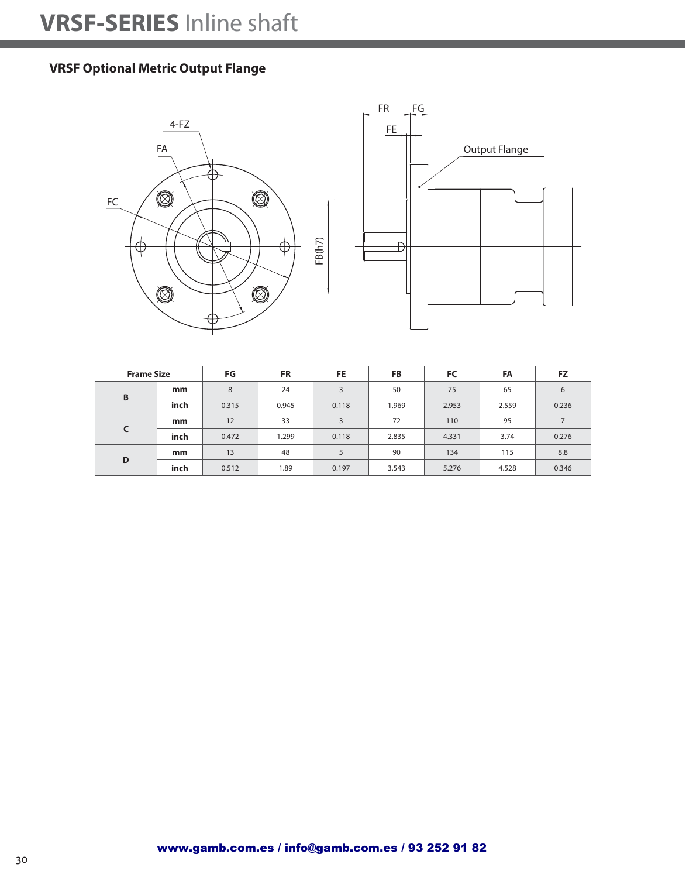### **VRSF Optional Metric Output Flange**



| <b>Frame Size</b> |      | FG    | <b>FR</b> | FE.   | <b>FB</b> | FC    | FA    | <b>FZ</b>      |
|-------------------|------|-------|-----------|-------|-----------|-------|-------|----------------|
| B                 | mm   | 8     | 24        | 3     | 50        | 75    | 65    | 6              |
|                   | inch | 0.315 | 0.945     | 0.118 | 1.969     | 2.953 | 2.559 | 0.236          |
| C                 | mm   | 12    | 33        | 3     | 72        | 110   | 95    | $\overline{ }$ |
|                   | inch | 0.472 | 1.299     | 0.118 | 2.835     | 4.331 | 3.74  | 0.276          |
| D                 | mm   | 13    | 48        | 5     | 90        | 134   | 115   | 8.8            |
|                   | inch | 0.512 | 1.89      | 0.197 | 3.543     | 5.276 | 4.528 | 0.346          |